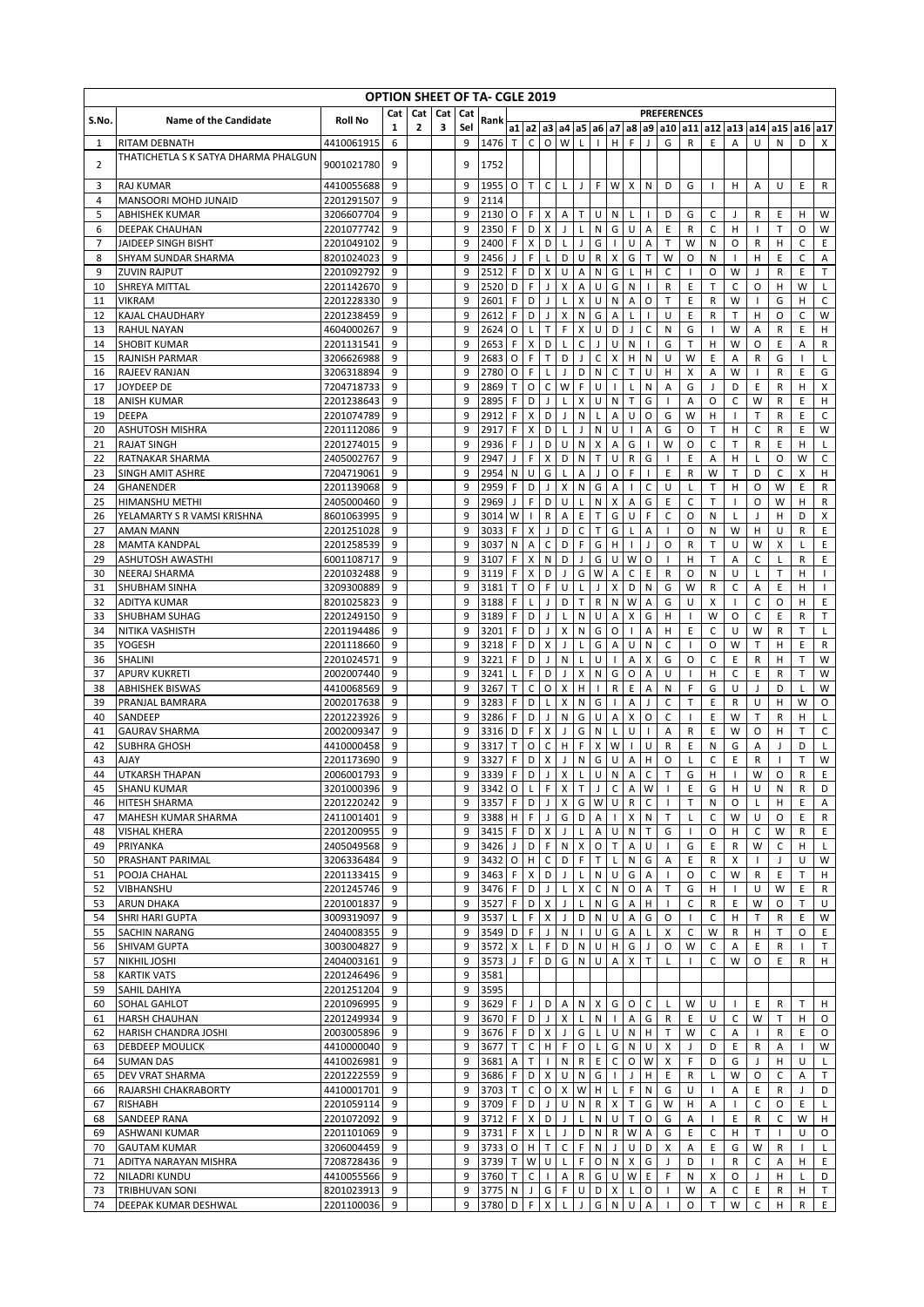|          |                                                       |                          |        |              |     |          | <b>OPTION SHEET OF TA- CGLE 2019</b>       |                |                           |                   |                   |                                          |                           |                         |                   |                   |                   |                     |                   |                   |                             |              |                   |                     |
|----------|-------------------------------------------------------|--------------------------|--------|--------------|-----|----------|--------------------------------------------|----------------|---------------------------|-------------------|-------------------|------------------------------------------|---------------------------|-------------------------|-------------------|-------------------|-------------------|---------------------|-------------------|-------------------|-----------------------------|--------------|-------------------|---------------------|
| S.No.    | <b>Name of the Candidate</b>                          | <b>Roll No</b>           | Cat    | Cat          | Cat | Cat      | Rank                                       |                |                           |                   |                   |                                          |                           |                         |                   |                   |                   | <b>PREFERENCES</b>  |                   |                   |                             |              |                   |                     |
|          |                                                       | 4410061915               | 1<br>6 | $\mathbf{z}$ | 3   | Sel<br>9 |                                            |                | $a1$ $a2$<br>$\mathsf{C}$ |                   | $O$ W             | a3  a4  a5  a6  a7  a8  <br>$\mathsf{L}$ | $\Box$                    | H                       | F                 | $\mathsf{J}$      | a9 a10<br>G       | a11<br>$\mathsf{R}$ | a12<br>E          |                   | a13 a14 a15<br>$\cup$       | ${\sf N}$    | a16<br>D          | a17<br>$\mathsf{x}$ |
| 1        | RITAM DEBNATH<br>THATICHETLA S K SATYA DHARMA PHALGUN |                          |        |              |     |          | 1476 T                                     |                |                           |                   |                   |                                          |                           |                         |                   |                   |                   |                     |                   | Α                 |                             |              |                   |                     |
| 2        |                                                       | 9001021780               | 9      |              |     | 9        | 1752                                       |                |                           |                   |                   |                                          |                           |                         |                   |                   |                   |                     |                   |                   |                             |              |                   |                     |
| 3        | <b>RAJ KUMAR</b>                                      | 4410055688               | 9      |              |     | 9        | 1955                                       | 0              | $\mathsf{T}$              | C                 | L                 | $\mathsf{J}$                             | F                         | W                       | X                 | N                 | D                 | G                   | J.                | н                 | Α                           | U            | Ε                 | R                   |
| 4        | MANSOORI MOHD JUNAID                                  | 2201291507               | 9      |              |     | 9        | 2114                                       |                |                           |                   |                   |                                          |                           |                         |                   |                   |                   |                     |                   |                   |                             |              |                   |                     |
| 5        | <b>ABHISHEK KUMAR</b>                                 | 3206607704               | 9      |              |     | 9        | 2130                                       | 0              | F                         | X                 | Α                 | $\mathsf{T}$                             | U                         | N                       | L                 | $\mathbf{I}$      | D                 | G                   | C                 | J                 | R                           | E            | H                 | W                   |
| 6        | <b>DEEPAK CHAUHAN</b>                                 | 2201077742               | 9<br>9 |              |     | 9<br>9   | 2350                                       | F<br>F         | D                         | X<br>D            | J                 | L                                        | N<br>G                    | G                       | U                 | Α                 | E<br>T            | R                   | C                 | H                 | $\mathbf{I}$                | Т<br>H       | O<br>C            | W<br>E              |
| 7<br>8   | JAIDEEP SINGH BISHT<br>SHYAM SUNDAR SHARMA            | 2201049102<br>8201024023 | 9      |              |     | 9        | 2400<br>2456                               | J              | X<br>F                    | L                 | L<br>D            | J<br>U                                   | R                         | X                       | U<br>G            | Α<br>T            | W                 | W<br>0              | N<br>N            | O                 | R<br>н                      | E            | C                 | Α                   |
| 9        | <b>ZUVIN RAJPUT</b>                                   | 2201092792               | 9      |              |     | 9        | 2512                                       | F              | D                         | X                 | U                 | A                                        | N                         | G                       | L                 | H                 | C                 | $\mathbf{I}$        | $\circ$           | W                 | J                           | R            | E                 | T                   |
| 10       | SHREYA MITTAL                                         | 2201142670               | 9      |              |     | 9        | 2520                                       | D              | F                         | $\mathbf{I}$      | X                 | A                                        | U                         | G                       | ${\sf N}$         |                   | R                 | E                   | Т                 | $\mathsf C$       | O                           | н            | W                 | L                   |
| 11       | <b>VIKRAM</b>                                         | 2201228330               | 9      |              |     | 9        | 2601                                       | F              | D                         | J                 | L                 | X                                        | U                         | N                       | Α                 | O                 | T                 | E                   | R                 | W                 | $\mathbf{I}$                | G            | H                 | $\mathsf{C}$        |
| 12       | KAJAL CHAUDHARY                                       | 2201238459               | 9      |              |     | 9        | 2612                                       | F              | D                         | J                 | X                 | N                                        | G                         | A                       | L                 |                   | U                 | E                   | R                 | $\mathsf{T}$      | н                           | O            | C                 | W                   |
| 13       | <b>RAHUL NAYAN</b>                                    | 4604000267<br>2201131541 | 9      |              |     | 9<br>9   | 2624                                       | O<br>F         | L<br>X                    | T<br>D            | F                 | X                                        | U<br>J                    | D<br>U                  | J                 | C                 | N                 | G                   | $\mathbf{I}$      | W<br>W            | A<br>O                      | R            | E                 | н                   |
| 14<br>15 | <b>SHOBIT KUMAR</b><br><b>RAJNISH PARMAR</b>          | 3206626988               | 9<br>9 |              |     | 9        | 2653<br>2683                               | O              | F                         | Т                 | L<br>D            | C<br>J                                   | C                         | X                       | N<br>H            | N                 | G<br>U            | т<br>W              | н<br>Ε            | Α                 | R                           | Ε<br>G       | Α<br>$\mathbf{I}$ | R<br>L              |
| 16       | <b>RAJEEV RANJAN</b>                                  | 3206318894               | 9      |              |     | 9        | 2780                                       | O              | F                         | L                 | J                 | D                                        | N                         | C                       | т                 | U                 | н                 | X                   | А                 | W                 |                             | R            | Ε                 | G                   |
| 17       | JOYDEEP DE                                            | 7204718733               | 9      |              |     | 9        | 2869                                       | T              | O                         | C                 | W                 | F                                        | U                         | $\mathbf{I}$            | L                 | N                 | А                 | G                   | J                 | D                 | Ε                           | R            | н                 | X                   |
| 18       | <b>ANISH KUMAR</b>                                    | 2201238643               | 9      |              |     | 9        | 2895                                       | F              | D                         | J                 | L                 | X                                        | U                         | N                       | T.                | G                 | $\mathbf{I}$      | A                   | O                 | C                 | W                           | R            | E                 | н                   |
| 19       | <b>DEEPA</b>                                          | 2201074789               | 9      |              |     | 9        | 2912                                       | F              | X                         | D                 | J                 | ${\sf N}$                                | L                         | Α                       | U                 | O                 | G                 | W                   | H                 | -1                | T                           | R            | E                 | C                   |
| 20       | <b>ASHUTOSH MISHRA</b>                                | 2201112086               | 9<br>9 |              |     | 9<br>9   | 2917                                       | F              | X                         | D<br>D            | L<br>U            | J                                        | N                         | U                       | $\mathbf{I}$<br>G | Α                 | G<br>W            | 0                   | т                 | H<br>$\mathsf{T}$ | $\mathsf C$<br>$\mathsf{R}$ | R<br>E       | E<br>H            | W                   |
| 21<br>22 | <b>RAJAT SINGH</b><br><b>RATNAKAR SHARMA</b>          | 2201274015<br>2405002767 | 9      |              |     | 9        | 2936<br>2947                               | F<br>J         | J<br>F                    | X                 | D                 | ${\sf N}$<br>N                           | X<br>$\mathsf T$          | A<br>U                  | $\mathsf R$       | G                 | $\mathbf{I}$      | O<br>E              | C<br>Α            | H                 | L                           | O            | W                 | L<br>C              |
| 23       | <b>SINGH AMIT ASHRE</b>                               | 7204719061               | 9      |              |     | 9        | 2954                                       | ${\sf N}$      | U                         | G                 | L                 | A                                        | J                         | O                       | F                 | $\mathbf{I}$      | E                 | R                   | W                 | T                 | D                           | C            | X                 | н                   |
| 24       | GHANENDER                                             | 2201139068               | 9      |              |     | 9        | 2959                                       | F              | D                         | J                 | X                 | N                                        | G                         | A                       |                   | Ċ                 | U                 | L                   | T                 | H                 | $\circ$                     | W            | E                 | $\mathsf{R}$        |
| 25       | HIMANSHU METHI                                        | 2405000460               | 9      |              |     | 9        | 2969                                       | J              | F                         | D                 | U                 | L                                        | N                         | X                       | А                 | G                 | Ε                 | C                   | T                 |                   | O                           | W            | H                 | R                   |
| 26       | YELAMARTY S R VAMSI KRISHNA                           | 8601063995               | 9      |              |     | 9        | 3014                                       | W              | -1                        | R                 | Α                 | E                                        | T                         | G                       | U                 | F                 | C                 | O                   | N                 | L                 | J                           | H            | D                 | X                   |
| 27       | <b>AMAN MANN</b>                                      | 2201251028               | 9      |              |     | 9<br>9   | 3033                                       | F              | X                         | ı                 | D                 | C                                        | T                         | G                       | L                 | А                 |                   | O                   | N                 | W                 | н                           | U            | R                 | E                   |
| 28<br>29 | <b>MAMTA KANDPAL</b><br><b>ASHUTOSH AWASTHI</b>       | 2201258539<br>6001108717 | 9<br>9 |              |     | 9        | 3037<br>3107                               | ${\sf N}$<br>F | Α<br>X                    | C<br>Ν            | D<br>D            | F<br>J                                   | G<br>G                    | н<br>U                  | $\mathbf{I}$<br>W | J<br>O            | O<br>$\mathbf{I}$ | R<br>н              | т<br>$\mathsf{T}$ | U<br>Α            | W<br>C                      | X<br>L       | L<br>$\mathsf{R}$ | E<br>E              |
| 30       | <b>NEERAJ SHARMA</b>                                  | 2201032488               | 9      |              |     | 9        | 3119                                       | F              | X                         | D                 | J                 | G                                        | W                         | Α                       | C                 | E                 | R                 | 0                   | N                 | U                 | L                           | T            | Н                 | $\mathbf{I}$        |
| 31       | <b>SHUBHAM SINHA</b>                                  | 3209300889               | 9      |              |     | 9        | 3181                                       | T              | O                         | F                 | U                 | L                                        | J                         | X                       | D                 | N                 | G                 | W                   | R                 | C                 | Α                           | E            | H                 | $\mathbf{I}$        |
| 32       | <b>ADITYA KUMAR</b>                                   | 8201025823               | 9      |              |     | 9        | 3188                                       | F              | L                         |                   | D                 | т                                        | R                         | N                       | W                 | Α                 | G                 | U                   | Х                 |                   | C                           | O            | н                 | E                   |
| 33       | <b>SHUBHAM SUHAG</b>                                  | 2201249150               | 9      |              |     | 9        | 3189                                       | F              | D                         | $\mathbf{I}$      | L                 | N                                        | U                         | Α                       | X                 | G                 | H                 | $\mathbf{I}$        | W                 | O                 | $\mathsf{C}$                | E            | R                 | T                   |
| 34       | NITIKA VASHISTH                                       | 2201194486               | 9      |              |     | 9        | 3201                                       | F              | D                         | J                 | X                 | ${\sf N}$                                | G                         | O                       | $\mathbf{I}$      | А                 | н                 | E                   | C                 | U                 | W                           | R            | T                 | L                   |
| 35<br>36 | YOGESH<br><b>SHALINI</b>                              | 2201118660<br>2201024571 | 9<br>9 |              |     | 9<br>9   | 3218<br>3221                               | F<br>F         | D<br>D                    | X<br>J            | $\mathsf{J}$<br>N | L<br>L                                   | G<br>U                    | A<br>$\mathbf{I}$       | U<br>A            | N<br>X            | C<br>G            | $\mathbf{I}$<br>O   | O<br>C            | W<br>E            | T<br>R                      | н<br>н       | E<br>T            | ${\sf R}$<br>W      |
| 37       | <b>APURV KUKRETI</b>                                  | 2002007440               | 9      |              |     | 9        | 3241                                       | L              | F                         | D                 | J                 | X                                        | N                         | G                       | 0                 | Α                 | U                 | $\mathbf{I}$        | H                 | C                 | E                           | R            | T                 | W                   |
| 38       | <b>ABHISHEK BISWAS</b>                                | 4410068569               | 9      |              |     | 9        | 3267                                       | T              | C                         | O                 | X                 | H                                        |                           | $\mathsf R$             | E                 | Α                 | N                 | F                   | G                 | U                 | J                           | D            |                   | W                   |
| 39       | PRANJAL BAMRARA                                       | 2002017638               | 9      |              |     | 9        | 3283                                       | F              | D                         | L                 | X                 | N                                        | G                         |                         | А                 |                   | C                 | T                   | Ε                 | R                 | U                           | н            | W                 | O                   |
| 40       | SANDEEP                                               | 2201223926               | 9      |              |     | 9        | 3286                                       | F              | D                         | J                 | N                 | G                                        | U                         | A                       | Χ                 | O                 | С                 | $\mathbf{I}$        | E                 | W                 | Т                           | R            | н                 | L                   |
| 41<br>42 | <b>GAURAV SHARMA</b><br><b>SUBHRA GHOSH</b>           | 2002009347<br>4410000458 | 9<br>9 |              |     | 9<br>9   | 3316<br>3317                               | D<br>T         | F<br>O                    | X<br>C            | J<br>н            | G<br>F                                   | N<br>X                    | L<br>W                  | U<br>$\mathbf{I}$ | $\mathbf{I}$<br>U | Α<br>R            | R<br>Ε              | Ε<br>N            | W<br>G            | O<br>Α                      | н<br>J       | т<br>D            | C<br>L              |
| 43       | <b>AJAY</b>                                           | 2201173690               | 9      |              |     | 9        | 3327                                       | F              | D                         | X                 | J                 | ${\sf N}$                                | G                         | U                       | Α                 | Н                 | O                 | L                   | C                 | E                 | R                           | $\mathbf{I}$ | т                 | W                   |
| 44       | UTKARSH THAPAN                                        | 2006001793               | 9      |              |     | 9        | 3339                                       | F              | D                         | J                 | Χ                 | L                                        | U                         | N                       | А                 | C                 | T                 | G                   | н                 |                   | W                           | O            | R                 | E                   |
| 45       | <b>SHANU KUMAR</b>                                    | 3201000396               | 9      |              |     | 9        | $3342$   O   L   F   X   T   J   C   A   W |                |                           |                   |                   |                                          |                           |                         |                   |                   |                   | Ε                   | G                 | н                 | U                           | N            | R                 | D                   |
| 46       | <b>HITESH SHARMA</b>                                  | 2201220242               | 9      |              |     | 9        | 3357 F                                     |                | D                         | $\mathsf{J}$      | $\mathsf{X}$      | G                                        | W                         | $\cup$                  | $\mathsf{R}$      | $\mathsf{C}$      |                   | T                   | N                 | 0                 | L                           | H            | Ε                 | A                   |
| 47       | MAHESH KUMAR SHARMA                                   | 2411001401               | 9      |              |     | 9        | 3388 H                                     |                | $\mathsf{F}$              | $\mathsf J$       | G                 | D                                        | $\mathsf{A}$              | $\mathbf{I}$            | $\pmb{\times}$    | N                 | T                 | Г                   | С                 | W                 | U                           | O            | E                 | R                   |
| 48<br>49 | <b>VISHAL KHERA</b><br>PRIYANKA                       | 2201200955<br>2405049568 | 9<br>9 |              |     | 9<br>9   | 3415<br>3426 J                             | F.             | D<br>D                    | $\mathsf X$<br>F  | J<br>N            | $\mathsf L$<br>$\pmb{\times}$            | $\mathsf{A}$              | U<br>O <sub>T</sub>     | ${\sf N}$<br>A    | T.<br>U           | G                 | $\mathbf{L}$<br>G   | 0<br>E            | H<br>$\mathsf{R}$ | C<br>W                      | W<br>C       | R<br>H            | E<br>L              |
| 50       | PRASHANT PARIMAL                                      | 3206336484               | 9      |              |     | 9        | 3432 O                                     |                | H                         | $\mathsf C$       | D                 | F                                        | T                         | $\mathsf{L}$            | ${\sf N}$         | G                 | Α                 | E.                  | R                 | X                 |                             | J            | U                 | W                   |
| 51       | POOJA CHAHAL                                          | 2201133415               | 9      |              |     | 9        | 3463                                       | F              | X                         | D                 | $\mathsf J$       | L                                        | $N$ U                     |                         | G                 | A                 |                   | O                   | С                 | W                 | R                           | Ε            | T                 | н                   |
| 52       | VIBHANSHU                                             | 2201245746               | 9      |              |     | 9        | 3476 F                                     |                | D                         | J                 | L                 | $\pmb{\times}$                           | $\mathsf{C}$              | $\mathsf{N}$            | O                 | Α                 | Τ                 | G                   | н                 |                   | U                           | W            | Ε                 | R                   |
| 53       | <b>ARUN DHAKA</b>                                     | 2201001837               | 9      |              |     | 9        | 3527                                       | F.             | D                         | X                 | J                 | L                                        |                           | $N$ G                   | Α                 | H.                | $\mathbf{I}$      | С                   | R                 | E                 | W                           | 0            | т                 | U                   |
| 54       | SHRI HARI GUPTA                                       | 3009319097<br>2404008355 | 9<br>9 |              |     | 9<br>9   | 3537 L<br>3549 D                           |                | F<br>F                    | X<br>J            | J<br>$\mathsf{N}$ | D<br>$\mathbf{I}$                        |                           | $N$ U<br>$U$ G          | A                 | G                 | O                 | $\mathbf{I}$        | C                 | H                 | Т                           | R<br>T.      | Ε<br>0            | W                   |
| 55<br>56 | <b>SACHIN NARANG</b><br><b>SHIVAM GUPTA</b>           | 3003004827               | 9      |              |     | 9        | 3572 X                                     |                | L                         | F.                | D                 | N                                        |                           | U H                     | A<br>G            | J                 | X<br>O            | C<br>W              | W<br>С            | R<br>Α            | н<br>Ε                      | R            | $\mathbf{I}$      | Ε<br>Τ              |
| 57       | <b>NIKHIL JOSHI</b>                                   | 2404003161               | 9      |              |     | 9        | 3573                                       | J.             | F.                        | D                 | G                 | ${\sf N}$                                | $\cup$                    | Α                       | X                 | T                 | L                 |                     | C                 | W                 | O                           | E            | R                 | H.                  |
| 58       | <b>KARTIK VATS</b>                                    | 2201246496               | 9      |              |     | 9        | 3581                                       |                |                           |                   |                   |                                          |                           |                         |                   |                   |                   |                     |                   |                   |                             |              |                   |                     |
| 59       | SAHIL DAHIYA                                          | 2201251204               | 9      |              |     | 9        | 3595                                       |                |                           |                   |                   |                                          |                           |                         |                   |                   |                   |                     |                   |                   |                             |              |                   |                     |
| 60       | SOHAL GAHLOT                                          | 2201096995               | 9      |              |     | 9        | 3629                                       | F.             | J                         | D                 | $\mathsf{A}$      | ${\sf N}$                                | X                         | G                       | O                 | C                 | L                 | W                   | U                 |                   | E                           | R            | T.                | H                   |
| 61<br>62 | <b>HARSH CHAUHAN</b><br>HARISH CHANDRA JOSHI          | 2201249934<br>2003005896 | 9<br>9 |              |     | 9<br>9   | 3670 F<br>3676 F                           |                | D<br>D                    | $\mathsf{I}$<br>X | X<br>J            | L<br>G                                   | ${\sf N}$<br>$\mathsf{L}$ | $\mathbf{1}$<br>$\sf U$ | Α<br>${\sf N}$    | G<br>H            | R<br>T.           | E<br>W              | U<br>C            | C<br>Α            | W                           | T.<br>R      | H<br>E            | 0<br>0              |
| 63       | <b>DEBDEEP MOULICK</b>                                | 4410000040               | 9      |              |     | 9        | 3677                                       | Т              | C                         | H                 | F                 | $\mathsf O$                              | L.                        | G                       | ${\sf N}$         | U                 | х                 | J                   | D                 | E                 | R                           | Α            |                   | W                   |
| 64       | <b>SUMAN DAS</b>                                      | 4410026981               | 9      |              |     | 9        | 3681                                       | Α              | T                         |                   | N                 | $\mathsf R$                              | E                         | $\mathsf C$             | O                 | W                 | X                 | F                   | D                 | G                 | J                           | н            | U                 | L                   |
| 65       | DEV VRAT SHARMA                                       | 2201222559               | 9      |              |     | 9        | 3686 F                                     |                | D                         | x                 | U                 | N                                        | G                         | $\mathbf{I}$            | J                 | H                 | Ε                 | R                   | L                 | W                 | O                           | С            | Α                 | Т                   |
| 66       | RAJARSHI CHAKRABORTY                                  | 4410001701               | 9      |              |     | 9        | 3703 T                                     |                | $\mathsf C$               |                   | O X               | W                                        | $H$ L                     |                         | F                 | N                 | G                 | U                   | $\mathbf{I}$      | Α                 | E                           | R            | J                 | D                   |
| 67       | <b>RISHABH</b>                                        | 2201059114               | 9      |              |     | 9        | 3709 F                                     |                | D                         | J                 | U                 | N                                        |                           | $R$ $X$                 | T                 | G                 | W                 | H                   | Α                 | $\mathbf{I}$      | C                           | 0            | E                 | L                   |
| 68       | <b>SANDEEP RANA</b>                                   | 2201072092               | 9      |              |     | 9        | 3712 F                                     |                | $\pmb{\times}$            | D <sup>1</sup>    | $\mathbf{J}$      | $\mathsf L$                              |                           | $N$ U                   | $\mathsf{T}$      | 0                 | G                 | А                   | $\mathbf{I}$      | E                 | R                           | C            | W                 | H                   |
| 69<br>70 | ASHWANI KUMAR<br><b>GAUTAM KUMAR</b>                  | 2201101069<br>3206004459 | 9<br>9 |              |     | 9<br>9   | 3731 F<br>3733                             | O              | X<br>H                    | L<br>T.           | J<br>C            | D<br>F                                   | N.<br>N                   | $\mathsf{R}$<br>$\perp$ | W<br>U            | А<br>D            | G<br>X            | E<br>А              | C<br>E.           | H<br>G            | Т<br>W                      | R            | U                 | O<br>L              |
| 71       | ADITYA NARAYAN MISHRA                                 | 7208728436               | 9      |              |     | 9        | 3739 T                                     |                | W                         | U                 | $\mathsf{L}$      | F                                        |                           | O N                     | X                 | G                 | J                 | D                   | $\mathbf{1}$      | R                 | C                           | А            | н                 | Ε                   |
| 72       | NILADRI KUNDU                                         | 4410055566               | 9      |              |     | 9        | 3760 T                                     |                | $\mathsf C$               | $\mathbf{I}$      | A                 | ${\sf R}$                                |                           | G U                     | W                 | E                 | F                 | N                   | X                 | $\circ$           | J.                          | H            | L                 | D                   |
| 73       | <b>TRIBHUVAN SONI</b>                                 | 8201023913               | 9      |              |     | 9        | 3775 N                                     |                | $\mathsf{J}$              |                   | GF                | U                                        |                           | D X                     | L                 | O                 | $\mathbf{I}$      | W                   | Α                 | C                 | E                           | R            | н                 | Τ                   |
| 74       | DEEPAK KUMAR DESHWAL                                  | 2201100036               | 9      |              |     | 9        | 3780 D                                     |                | F.                        | $\mathsf X$       | L                 | J                                        | G                         | ${\sf N}$               | U                 | Α                 |                   | O                   | Т                 | W                 | С                           | н            | R                 | E                   |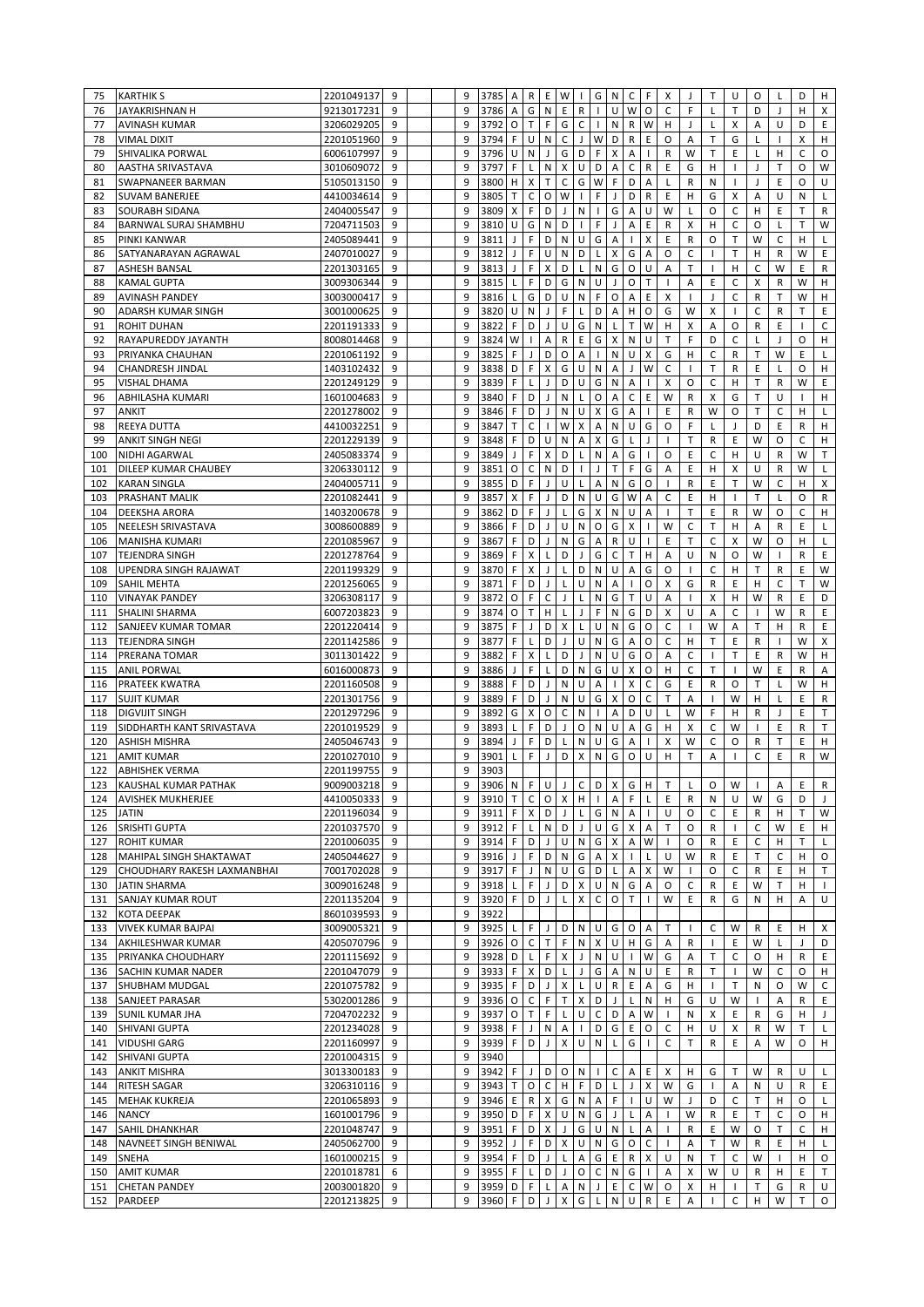| 75  | <b>KARTHIK S</b>                                  | 2201049137               | 9                     |   | 9      | 3785 A                           |                | R            |              | E W                | $\perp$                                 | G              | N                   | $\mathsf C$         | F.                        | Х                 | J                | T                        | U                        | 0            | L            | D            | H                 |
|-----|---------------------------------------------------|--------------------------|-----------------------|---|--------|----------------------------------|----------------|--------------|--------------|--------------------|-----------------------------------------|----------------|---------------------|---------------------|---------------------------|-------------------|------------------|--------------------------|--------------------------|--------------|--------------|--------------|-------------------|
| 76  | JAYAKRISHNAN H                                    | 9213017231               | 9                     |   | 9      | 3786                             | Α              | G            | N            | E                  | ${\sf R}$                               | $\mathbf{I}$   | U                   | W                   | $\circ$                   | C                 | F                | L                        | T                        | D            | J            | H            | X                 |
| 77  | <b>AVINASH KUMAR</b>                              | 3206029205               | 9                     |   | 9      | 3792                             | $\circ$        | T            | F            | G                  | $\mathsf C$                             |                | ${\sf N}$           | ${\sf R}$           | W                         | H                 | J                | L                        | X                        | А            | U            | D            | E                 |
| 78  | <b>VIMAL DIXIT</b>                                | 2201051960               | 9                     |   | 9      | 3794                             | F.             | U            | N            | $\mathsf C$        | $\mathsf{J}$                            | W              | D                   | $\mathsf R$         | E                         | O                 | Α                | T                        | G                        | Г            |              | X            | H                 |
| 79  | SHIVALIKA PORWAL                                  | 6006107997               | 9                     |   | 9      | 3796                             | U              | ${\sf N}$    | J            | G                  | D                                       | F.             | X                   | A                   | $\mathbf{I}$              | R                 | W                | Т                        | Ε                        | Г            | н            | C            | O                 |
| 80  | AASTHA SRIVASTAVA                                 | 3010609072               | 9                     |   | 9      | 3797                             | F              | L            | N            | X                  | U                                       | D              | A                   | $\mathsf C$         | R                         | Ε                 | G                | Н                        | п                        | J            | Τ            | 0            | W                 |
| 81  | SWAPNANEER BARMAN                                 | 5105013150               | 9                     |   | 9      | 3800                             | H              | X            | T.           | C                  | G                                       | W              | F                   | D                   | A                         | Г                 | R                | N                        | $\mathbf{I}$             | J            | E            | 0            | U                 |
| 82  | <b>SUVAM BANERJEE</b>                             | 4410034614               | 9                     |   | 9      | 3805                             | T.             | $\mathsf C$  | O            | W                  | $\mathbf{I}$                            | F.             | J                   | D                   | ${\sf R}$                 | E                 | н                | G                        | X                        | Α            | U            | N            | L                 |
| 83  | <b>SOURABH SIDANA</b>                             | 2404005547               | 9                     |   | 9      | 3809                             | х              | F            | D            | J                  | ${\sf N}$                               | $\mathbf{L}$   | G                   | A                   | U                         | W                 | L                | O                        | С                        | н            | E            | T.           | R                 |
| 84  | BARNWAL SURAJ SHAMBHU                             | 7204711503               | 9                     |   | 9      | 3810                             | U              | G            | N            | D                  | $\mathbf{I}$                            | F              | J                   | A                   | E                         | R                 | X                | Н                        | C                        | O            | L            | T.           | W                 |
| 85  | PINKI KANWAR                                      | 2405089441               | 9                     |   | 9      | 3811                             | J              | $\mathsf F$  | D            | ${\sf N}$          | U                                       | G              | A                   | $\mathbf{I}$        | X                         | E                 | R                | O                        | T                        | W            | C            | H            | L                 |
| 86  | SATYANARAYAN AGRAWAL                              | 2407010027               | 9                     |   | 9      | 3812                             | J              | $\mathsf F$  | U            | ${\sf N}$          | D                                       | $\mathsf{L}^-$ | X                   | G                   | A                         | O                 | $\mathsf C$      | $\overline{\phantom{a}}$ | T                        | H            | $\mathsf R$  | W            | E                 |
| 87  | <b>ASHESH BANSAL</b>                              | 2201303165               | 9                     |   | 9      | 3813                             | J              | F            | X            | D                  | $\mathsf{L}$                            | ${\sf N}$      | G                   | $\circ$             | U                         | А                 | T                | $\overline{\phantom{a}}$ | H                        | C            | W            | E            | R                 |
| 88  | <b>KAMAL GUPTA</b>                                | 3009306344               | 9                     |   | 9      | 3815                             |                | F            | D            | G                  | ${\sf N}$                               | U              | J                   | O                   | T                         | $\mathbf{I}$      | Α                | Ε                        | $\mathsf C$              | Χ            | R            | W            | н                 |
| 89  |                                                   | 3003000417               | 9                     |   | 9      | 3816                             |                | G            | D            | U                  | N                                       | F.             | $\circ$             | A                   | E                         | X                 |                  | J                        | C                        | R            | T            | W            | H                 |
|     | <b>AVINASH PANDEY</b>                             |                          | 9                     |   | 9      | 3820                             | U              |              | J.           | F                  |                                         | D              | Α                   |                     | O                         | G                 |                  |                          | $\overline{\phantom{a}}$ | C            | R            | T            | E                 |
| 90  | ADARSH KUMAR SINGH                                | 3001000625               |                       |   |        |                                  |                | N            |              |                    | L                                       |                |                     | H                   |                           |                   | W                | X                        |                          |              |              |              |                   |
| 91  | <b>ROHIT DUHAN</b>                                | 2201191333               | 9                     |   | 9      | 3822                             | F              | D            | J.           | U                  | G                                       | ${\sf N}$      | L                   | $\top$              | W                         | н                 | Χ                | A                        | O                        | R            | E            |              | $\mathsf C$       |
| 92  | RAYAPUREDDY JAYANTH                               | 8008014468               | 9                     |   | 9      | 3824                             | W              | Ι.           | Α            | $\mathsf{R}$       | $\sf E$                                 | G              | X                   | N                   | U                         | Т                 | F                | D                        | С                        | L            | J            | O            | н                 |
| 93  | PRIYANKA CHAUHAN                                  | 2201061192               | 9                     |   | 9      | 3825                             | F              | J            | D            | $\circ$            | Α                                       | $\mathbf{L}$   | N                   | U                   | X                         | G                 | н                | $\mathsf{C}$             | R                        | Т            | W            | E            | L                 |
| 94  | CHANDRESH JINDAL                                  | 1403102432               | 9                     |   | 9      | 3838                             | D              | F            | X            | G                  | U                                       | $\mathsf{N}$   | A                   | $\mathsf{J}$        | W                         | C                 | $\mathbf{I}$     | $\mathsf{T}$             | R                        | E            | L            | 0            | н                 |
| 95  | <b>VISHAL DHAMA</b>                               | 2201249129               | 9                     |   | 9      | 3839                             | F.             | $\mathsf{L}$ | J.           | D                  | U                                       | G              | ${\sf N}$           | A                   | $\mathbf{I}$              | X                 | O                | $\mathsf{C}$             | H                        | T            | $\mathsf R$  | W            | E                 |
| 96  | ABHILASHA KUMARI                                  | 1601004683               | 9                     |   | 9      | 3840                             | F              | D            | $\mathsf{J}$ | ${\sf N}$          | L                                       | O              | A                   | $\mathsf C$         | E                         | W                 | R                | X                        | G                        | T            | U            | $\mathbf{I}$ | н                 |
| 97  | <b>ANKIT</b>                                      | 2201278002               | 9                     |   | 9      | 3846                             | F              | D            | $\perp$      | $\mathsf{N}$       | U                                       | X              | G                   | A                   | $\mathbf{I}$              | E                 | $\mathsf{R}$     | W                        | O                        | $\top$       | C            | H            | L                 |
| 98  | <b>REEYA DUTTA</b>                                | 4410032251               | 9                     |   | 9      | 3847                             | T              | $\mathsf C$  | $\mathbf{I}$ | W                  | $\pmb{\times}$                          | А              | ${\sf N}$           | U                   | G                         | O                 | F                | L                        | $\mathsf J$              | D            | E            | $\mathsf R$  | н                 |
| 99  | <b>ANKIT SINGH NEGI</b>                           | 2201229139               | 9                     |   | 9      | 3848                             | F              | D            | U            | N                  | А                                       | X              | G                   | L                   | $\mathbf{J}$              | $\mathbf{I}$      | T                | $\mathsf{R}$             | E                        | W            | O            | C            | H                 |
| 100 | <b>NIDHI AGARWAL</b>                              | 2405083374               | 9                     |   | 9      | 3849                             |                | $\mathsf F$  | X            | D                  | L                                       | ${\sf N}$      | A                   | G                   | $\mathbf{I}$              | O                 | E                | $\mathsf{C}$             | H                        | U            | $\mathsf R$  | W            | T.                |
| 101 | DILEEP KUMAR CHAUBEY                              | 3206330112               | 9                     | 9 |        | 3851                             | $\circ$        | $\mathsf C$  | N            | D                  | $\mathbf{I}$                            | J              | T                   | F                   | G                         | А                 | E                | H                        | X                        | U            | $\mathsf R$  | W            | L                 |
| 102 | <b>KARAN SINGLA</b>                               | 2404005711               | 9                     |   | 9      | 3855                             | D              | F            | $\mathbf{J}$ | U                  | L                                       | А              | N                   | G                   | 0                         |                   | R                | E                        | T                        | W            | C            | н            | X                 |
| 103 | PRASHANT MALIK                                    | 2201082441               | 9                     |   | 9      | 3857                             | $\pmb{\times}$ | F            | J            | D                  | ${\sf N}$                               | U              | G                   | W                   | Α                         | C                 | Ε                | н                        | $\mathbf{I}$             | T            | L            | 0            | R                 |
| 104 | <b>DEEKSHA ARORA</b>                              | 1403200678               | 9                     |   | 9      | 3862                             | D              | F            | J            | L                  | G                                       | X              | ${\sf N}$           | U                   | Α                         | $\mathbf{I}$      | т                | Ε                        | R                        | W            | O            | C            | н                 |
| 105 | NEELESH SRIVASTAVA                                | 3008600889               | 9                     |   | 9      | 3866                             | F              | D            | $\mathbf{J}$ | U                  | ${\sf N}$                               | $\mathsf O$    | G                   | X                   | $\mathbf{I}$              | W                 | C                | T                        | H                        | Α            | R            | E            | L                 |
| 106 | <b>MANISHA KUMARI</b>                             | 2201085967               | 9                     |   | 9      | 3867                             | F              | D            | J.           | ${\sf N}$          | G                                       | Α              | $\mathsf R$         | U                   |                           | E                 | T                | $\mathsf{C}$             | X                        | W            | O            | H            | L                 |
| 107 | <b>TEJENDRA SINGH</b>                             | 2201278764               | 9                     |   | 9      | 3869                             | F              | X            | L            | D                  | J                                       | G              | C                   | $\mathsf{T}$        | H                         | Α                 | U                | N                        | O                        | W            | $\mathbf{I}$ | R            | E                 |
| 108 | UPENDRA SINGH RAJAWAT                             | 2201199329               | 9                     |   | 9      | 3870                             | F              | X            | J            | L                  | D                                       | N              | U                   | A                   | G                         | O                 |                  | C                        | H                        | T            | $\mathsf R$  | E            | W                 |
| 109 | <b>SAHIL MEHTA</b>                                | 2201256065               | 9                     |   | 9      | 3871                             | F              | D            | J.           | L                  | U                                       | ${\sf N}$      | Α                   | $\mathbf{I}$        | O                         | X                 | G                | $\mathsf{R}$             | Ε                        | H            | C            | т            | W                 |
| 110 |                                                   |                          | 9                     |   | 9      | 3872                             | $\circ$        | F            | $\mathsf C$  | J                  | L                                       | ${\sf N}$      | G                   | $\top$              | U                         | Α                 | $\mathbf{I}$     | X                        | H                        | W            | R            | E            | D                 |
|     | <b>VINAYAK PANDEY</b>                             | 3206308117               |                       |   | 9      |                                  |                |              |              |                    |                                         |                |                     |                     |                           |                   | U                |                          |                          |              |              |              |                   |
| 111 | <b>SHALINI SHARMA</b>                             | 6007203823               | 9                     |   |        | 3874                             | O              | $\mathsf{T}$ | H.           | L                  | $\mathsf{J}$                            | F              | ${\sf N}$           | G                   | D                         | X                 |                  | A                        | $\mathsf C$              | H            | W            | R            | E                 |
| 112 | SANJEEV KUMAR TOMAR                               | 2201220414               | 9                     |   | 9      | 3875                             | F              | $\mathsf J$  | D            | X                  | L                                       | U              | N                   | G                   | $\circ$                   | C                 | $\mathbf{I}$     | W                        | A                        | T            | н            | $\mathsf{R}$ | E                 |
|     |                                                   |                          |                       |   |        |                                  |                |              |              |                    |                                         |                |                     |                     |                           |                   |                  |                          |                          |              |              |              |                   |
| 113 | <b>TEJENDRA SINGH</b>                             | 2201142586               | 9                     |   | 9      | 3877                             | F              | L            | D            | J                  | U                                       | N              | G                   | A                   | O                         | С                 | H                | T                        | E                        | R            |              | W            | X                 |
| 114 | PRERANA TOMAR                                     | 3011301422               | 9                     |   | 9      | 3882                             | F              | Χ            | L            | D                  | $\mathsf J$                             | N              | U                   | G                   | O                         | А                 | C                |                          | T                        | E            | R            | W            | H                 |
| 115 | <b>ANIL PORWAL</b>                                | 6016000873               | 9                     |   | 9      | 3886                             | J              | F            | Г            | D                  | N                                       | G              | U                   | Χ                   | O                         | н                 | C                | $\mathsf T$              |                          | W            | E            | R            | А                 |
| 116 | <b>PRATEEK KWATRA</b>                             | 2201160508               | 9                     |   | 9      | 3888                             | F              | D            | J            | ${\sf N}$          | U                                       | A              | $\mathbf{I}$        | X                   | C                         | G                 | Ε                | R                        | O                        | Т            | L            | W            | н                 |
| 117 | <b>SUJIT KUMAR</b>                                | 2201301756               | 9                     |   | 9      | 3889                             | F              | D            | J.           | N                  | U                                       | G              | X                   | O                   | C                         | Τ                 | Α                | $\mathbf{I}$             | W                        | H            | L            | E            | R                 |
| 118 | <b>DIGVIJIT SINGH</b>                             | 2201297296               | 9                     |   | 9      | 3892                             | G              | X            | O            | C                  | ${\sf N}$                               | $\mathbf{L}$   | A                   | D                   | U                         | Г                 | W                | F                        | H                        | R            | J            | E            | T                 |
| 119 | SIDDHARTH KANT SRIVASTAVA                         | 2201019529               | 9                     |   | 9      | 3893                             | L              | F            | D            | J                  | O                                       | $\mathsf{N}$   | U                   | A                   | G                         | H                 | X                | C                        | W                        | $\mathbf{I}$ | E            | $\mathsf{R}$ | T.                |
| 120 | <b>ASHISH MISHRA</b>                              | 2405046743               | 9                     |   | 9      | 3894                             |                | F            | D            | L                  | ${\sf N}$                               | U              | G                   | Α                   | $\mathbf{I}$              | х                 | W                | C                        | O                        | R            | Τ            | E            | н                 |
| 121 | <b>AMIT KUMAR</b>                                 | 2201027010               | 9                     |   | 9      | 3901                             |                | F            | J.           | D                  | X                                       | ${\sf N}$      | ${\mathsf G}$       | O                   | U                         | H                 | T                | Α                        |                          | C            | E            | R            | W                 |
| 122 | <b>ABHISHEK VERMA</b>                             | 2201199755               | 9                     |   | 9      | 3903                             |                |              |              |                    |                                         |                |                     |                     |                           |                   |                  |                          |                          |              |              |              |                   |
|     |                                                   |                          |                       |   | 9      |                                  |                |              |              |                    |                                         |                |                     |                     |                           |                   |                  |                          | $O$ W                    |              |              | $\mathsf E$  | ${\sf R}$         |
|     | 123 KAUSHAL KUMAR PATHAK<br>124 AVISHEK MUKHERJEE | 9009003218<br>4410050333 | $\boldsymbol{9}$<br>9 |   | 9      | $3906$ N F U J C D X G H<br>3910 | T              |              |              |                    |                                         |                |                     | $\mathsf F$         | $\mathsf{L}$              | $\top$<br>E       | $\mathsf L$<br>R | N                        | U                        | W            | А<br>G       | D            | $\mathbf{J}$      |
|     | 125 JATIN                                         | 2201196034               | 9                     |   | 9      | 3911                             | F.             |              |              | $\mathsf{J}$       | $C$ $O$ $X$ $H$ $I$ $A$<br>$\mathsf{L}$ | G              | N                   |                     | $\mathbf{I}$              | U                 | O                | C                        |                          |              | H            | T.           |                   |
|     | 126 SRISHTI GUPTA                                 | 2201037570               | 9                     |   | 9      |                                  | F.             | X D          |              |                    |                                         |                |                     | $\overline{A}$      |                           | T                 | 0                |                          | E<br>$\mathbf{I}$        | R            | W            |              | W<br>H            |
|     |                                                   |                          |                       |   |        | 3912                             |                | $\mathsf{L}$ |              | $N$ D              | $\mathsf J$                             | $U$ $G$        |                     | $\mathsf{X}$        | Α                         |                   |                  | R                        |                          | С            |              | E            |                   |
| 127 | <b>ROHIT KUMAR</b><br>128 MAHIPAL SINGH SHAKTAWAT | 2201006035               | 9<br>9                |   | 9<br>9 | 3914                             | F.<br>J        | D<br>F       | J            | $\cup$<br>D N      | N                                       | G X            |                     | A W<br>$\mathbf{I}$ | $\mathsf{L}$              | $\mathbf{I}$<br>U | 0<br>W           | R<br>R                   | E                        | C<br>Т       | H<br>C       | Т<br>H       | $\mathsf{L}$<br>0 |
|     |                                                   | 2405044627               | 9                     |   | 9      | 3916                             | F.             |              |              |                    | G                                       | $\mathsf{A}$   | $\pmb{\times}$<br>L |                     |                           | W                 | $\mathbf{I}$     |                          | E                        |              |              | H            | T                 |
| 129 | CHOUDHARY RAKESH LAXMANBHAI                       | 7001702028               |                       |   | 9      | 3917                             |                | J            |              | N U                | G                                       | D              |                     | Α                   | X                         |                   |                  | 0                        | C                        | R            | E            |              | $\mathbf{I}$      |
|     | 130 JATIN SHARMA                                  | 3009016248               | 9                     |   |        | 3918                             | L.             | F            |              |                    | J D X                                   | U N            |                     | G                   | A                         | 0                 | C                | R                        | E.                       | W            | Τ            | H            |                   |
|     | 131 SANJAY KUMAR ROUT                             | 2201135204               | 9                     |   | 9      | 3920                             | F              | D J          |              | $\mathsf{L}$       | $\mathsf{X}$                            | $\mathsf{C}$   | $\circ$             | T                   | $\mathbf{I}$              | W                 | Ε                | R                        | G                        | N            | н            | A            | U                 |
|     | 132 KOTA DEEPAK                                   | 8601039593               | 9                     |   | 9      | 3922                             |                |              |              |                    |                                         |                |                     |                     |                           |                   |                  |                          |                          |              |              |              |                   |
| 133 | <b>VIVEK KUMAR BAJPAI</b>                         | 3009005321               | 9                     |   | 9      | 3925                             | L.             | F            | $\mathsf{J}$ | D                  | N                                       | U              | G                   | $\circ$             | A                         | Т                 | $\mathbf{I}$     | C                        | W                        | R            | E            | н            | X                 |
| 134 | AKHILESHWAR KUMAR                                 | 4205070796               | 9                     |   | 9      | $3926$ O                         |                | $\mathsf{C}$ | T            | F.                 | N                                       | X U            |                     | H                   | G                         | Α                 | R                | $\perp$                  | E                        | W            | L            | $\perp$      | D                 |
|     | 135 PRIYANKA CHOUDHARY                            | 2201115692               | 9                     |   | 9      | 3928 D                           |                | $\mathsf{L}$ | $F \times$   |                    | $\mathsf{J}$                            | N U            |                     | $\mathbf{I}$        | W                         | G                 | Α                | T                        | C                        | 0            | н            | R            | Ε                 |
|     | 136 SACHIN KUMAR NADER                            | 2201047079               | 9                     |   | 9      | 3933                             | F.             | X            | D            | $\mathsf{L}$       | $\mathsf J$                             | G              | A                   | ${\sf N}$           | $\cup$                    | E                 | R                | $\mathsf{T}$             | $\mathbf{I}$             | W            | C            | 0            | H                 |
| 137 | <b>SHUBHAM MUDGAL</b>                             | 2201075782               | 9                     |   | 9      | 3935                             | F.             | D            |              | J X                | $\mathsf L$                             | U R            |                     | $\,$ E              | A                         | G                 | H                | $\overline{1}$           | $\mathsf T$              | N            | O            | W            | C                 |
|     | 138 SANJEET PARASAR                               | 5302001286               | 9                     |   | 9      | 3936 O                           |                | $\mathsf{C}$ | F.           | $\mathsf T$        | X                                       | D              | J                   | $\mathsf{L}$        | N                         | H                 | G                | U                        | W                        | $\mathbf{I}$ | Α            | R            | E                 |
|     | 139 SUNIL KUMAR JHA                               | 7204702232               | 9                     |   | 9      | 3937                             | $\circ$        | $\mathsf T$  | F.           | $\mathsf{L}$       | $\sf U$                                 | $\mathsf{C}$   | D                   | A                   | W                         |                   | N                | Х                        | Ε                        | R            | G            | H            | J                 |
| 140 | SHIVANI GUPTA                                     | 2201234028               | 9                     |   | 9      | 3938                             | F.             | J            | N.           | A                  | Ι.                                      | $D$ $G$        |                     | E                   | $\mathsf O$               | C                 | н                | U                        | X                        | R            | W            | Т            | L.                |
| 141 | <b>VIDUSHI GARG</b>                               | 2201160997               | 9                     |   | 9      | 3939                             | F.             | D            | $\mathsf{J}$ | $\pmb{\mathsf{X}}$ | $\cup$                                  | N              | $\mathsf L$         | G                   | $\mathbf{L}$              | C                 | Т                | R                        | E.                       | А            | W            | 0            | H                 |
|     | 142 SHIVANI GUPTA                                 | 2201004315               | 9                     |   | 9      | 3940                             |                |              |              |                    |                                         |                |                     |                     |                           |                   |                  |                          |                          |              |              |              |                   |
|     | 143 ANKIT MISHRA                                  | 3013300183               | 9                     |   | 9      | 3942                             | F.             | $\mathsf J$  | D            | $\circ$            | ${\sf N}$                               | Τ.             | C                   | A                   | E.                        | X                 | H                | G                        | т                        | W            | R            | U            | L.                |
|     | 144 RITESH SAGAR                                  | 3206310116               | 9                     |   | 9      | 3943                             | $\mathsf{T}$   | $\circ$      |              | $C$ $H$            | F.                                      | D              | L                   | J                   | X                         | W                 | G                | $\blacksquare$           | Α                        | Ν            | U            | R            | E                 |
|     | 145 MEHAK KUKREJA                                 | 2201065893               | 9                     |   | 9      | 3946                             | E.             | R            | X            | G                  | N                                       | A              | F.                  | $\mathbf{I}$        | U                         | W                 | $\perp$          | D                        | C                        | T            | H            | $\circ$      | L.                |
|     | 146 NANCY                                         | 1601001796               | 9                     |   | 9      | 3950                             | D              | F            | X            | U                  | N                                       | G              | J                   | L                   | Α                         |                   | W                | R                        | Ε                        | T            | С            | $\circ$      | H                 |
| 147 | SAHIL DHANKHAR                                    | 2201048747               | 9                     |   | 9      | 3951                             | F.             | D X          |              | $\mathsf{J}$       | G                                       | $\cup$         | N                   | $\mathsf{L}$        | Α                         |                   | R                | E                        | W                        | O            | T            | C            | н                 |
|     | 148 NAVNEET SINGH BENIWAL                         | 2405062700               | 9                     |   | 9      | 3952                             | J              | $\mathsf F$  |              | D X                | U                                       | N              | G                   | O                   | C                         | $\mathbf{I}$      | Α                | $\mathsf{T}$             | W                        | R            | E            | H            | L.                |
| 149 | <b>SNEHA</b>                                      | 1601000215               | 9                     |   | 9      | 3954                             | F              | D            | $\mathsf{J}$ | $\mathsf{L}$       | A                                       | G              | $\mathsf E$         | $\mathsf{R}$        | $\boldsymbol{\mathsf{x}}$ | U                 | N                | T                        | C                        | W            | $\mathbf{I}$ | H            | 0                 |
| 150 | <b>AMIT KUMAR</b>                                 | 2201018781               | 6                     |   | 9      | 3955                             | F.             | $\mathsf{L}$ | D.           | $\mathsf{J}$       | $\circ$                                 | $\mathsf{C}$   | $\mathsf{N}$        | G                   | $\mathbf{L}$              | Α                 | x                | W                        | U                        | R            | H            | E.           | T                 |
|     | 151 CHETAN PANDEY                                 | 2003001820               | 9                     |   | 9      | 3959                             | D              | F            | L.           | A                  | N                                       | J              | Ε                   | C                   | W                         | O                 | х                | H                        |                          | Т            | G            | R            | U                 |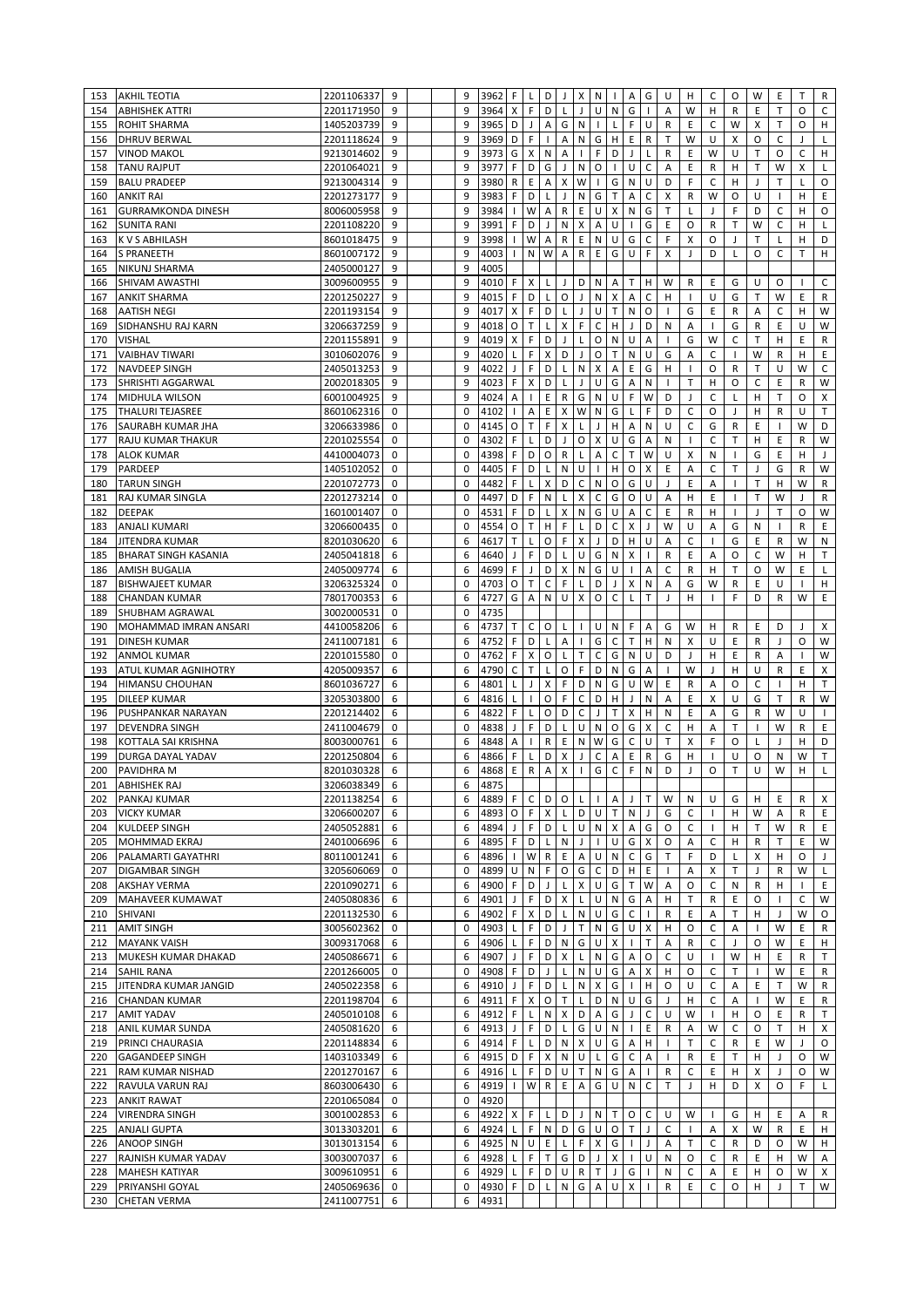| 153        | <b>AKHIL TEOTIA</b>                           | 2201106337               | 9           |  | 9           | 3962         | F              | L            | D                | J            | X                | N            | $\mathbf{I}$              | Α              | G            | U            | н            | C                        | O                        | W            | Ε                        | т            | R            |
|------------|-----------------------------------------------|--------------------------|-------------|--|-------------|--------------|----------------|--------------|------------------|--------------|------------------|--------------|---------------------------|----------------|--------------|--------------|--------------|--------------------------|--------------------------|--------------|--------------------------|--------------|--------------|
| 154        | <b>ABHISHEK ATTRI</b>                         | 2201171950               | 9           |  | 9           | 3964         | X              | F            | D                | L            | J                | U            | ${\sf N}$                 | G              |              | Α            | W            | н                        | R                        | E            | T                        | O            | C            |
| 155        | <b>ROHIT SHARMA</b>                           | 1405203739               | 9           |  | 9           | 3965         | D              | J            | Α                | G            | N                |              | L                         | F              | U            | R            | Ε            | C                        | W                        | х            | т                        | O            | н            |
| 156        | <b>DHRUV BERWAL</b>                           | 2201118624               | 9           |  | 9           | 3969         | D              | F            | $\mathbf{I}$     | А            | N                | G            | н                         | Ε              | R            | T            | W            | U                        | X                        | O            | C                        | J            | L            |
| 157        | <b>VINOD MAKOL</b>                            | 9213014602               | 9           |  | 9           | 3973         | G              | X            | N                | Α            | $\mathbf{I}$     | F            | D                         | J              | L            | R            | E            | W                        | U                        | T            | O                        | C            | н            |
| 158        | <b>TANU RAJPUT</b>                            | 2201064021               | 9           |  | 9           | 3977         | F              | D            | G                | $\mathsf{J}$ | ${\sf N}$        | O            | $\overline{1}$            | U              | C            | A            | E            | R                        | H                        | T            | W                        | X            | L            |
| 159        | <b>BALU PRADEEP</b>                           | 9213004314               | 9           |  | 9           | 3980         | $\mathsf{R}$   | Ε            | A                | X            | W                | $\mathbf{I}$ | G                         | ${\sf N}$      | U            | D            | F            | C                        | H                        | J            | т                        | L            | O            |
| 160        | <b>ANKIT RAI</b>                              | 2201273177               | 9           |  | 9           | 3983         | F              | D            | $\mathsf{L}$     | J            | ${\sf N}$        | G            | $\mathsf{T}$              | Α              | C            | X            | R            | W                        | O                        | U            | T                        | H            | E            |
| 161        | <b>GURRAMKONDA DINESH</b>                     | 8006005958               | 9           |  | 9           | 3984         | $\mathbf{I}$   | W            | Α                | $\mathsf{R}$ | E                | U            | X                         | $\mathsf{N}$   | G            | T            | L            | J                        | F                        | D            | C                        | H            | O            |
| 162        | <b>SUNITA RANI</b>                            | 2201108220               | 9           |  | 9           | 3991         | F              | D            | J                | ${\sf N}$    | X                | A            | U                         | $\mathbf{I}$   | G            | E            | O            | $\mathsf{R}$             | T                        | W            | $\mathsf{C}$             | H            | L            |
| 163        | <b>KVS ABHILASH</b>                           | 8601018475               | 9           |  | 9           | 3998         | $\mathbf{I}$   | W            | Α                | $\mathsf{R}$ | E                | N            | $\sf U$                   | G              | C            | F            | X            | O                        | $\mathbf{J}$             | T            | L                        | H            | D            |
| 164        | <b>S PRANEETH</b>                             | 8601007172               | 9           |  | 9           | 4003         |                | N            | ${\mathsf W}$    | A            | $\mathsf R$      | $\mathsf E$  | G                         | $\cup$         | F            | X            | J            | D                        | L                        | O            | C                        | T            | H            |
| 165        | <b>NIKUNJ SHARMA</b>                          | 2405000127               | 9           |  | 9           | 4005         |                |              |                  |              |                  |              |                           |                |              |              |              |                          |                          |              |                          |              |              |
| 166        | SHIVAM AWASTHI                                | 3009600955               | 9           |  | 9           | 4010         | F              | X            | L                |              | D                | N            | Α                         | т              |              | W            | R            | Ε                        | G                        | U            | O                        |              | $\mathsf C$  |
|            |                                               | 2201250227               | 9           |  | 9           | 4015         | F              | D            |                  | J<br>O       | J                | N            | $\pmb{\mathsf{X}}$        |                | н<br>C       |              |              | U                        | G                        | T            | W                        | E            | R            |
| 167        | <b>ANKIT SHARMA</b>                           |                          | 9           |  | 9           | 4017         | X              | F            | L<br>D           |              |                  | U            | $\mathsf{T}$              | Α              | O            | н            |              |                          |                          |              |                          |              | W            |
| 168        | <b>AATISH NEGI</b>                            | 2201193154               | 9           |  | 9           |              | O              |              | L                | L            | J                |              |                           | N              | D            | л.           | G            | Ε                        | R                        | Α            | C                        | н            |              |
| 169        | SIDHANSHU RAJ KARN                            | 3206637259               |             |  | 9           | 4018         |                | Т            | D                | X            | F                | C            | $\mathsf H$               | J              |              | N            | Α            | $\mathbf{I}$             | G                        | R            | Ε                        | U            | W            |
| 170        | <b>VISHAL</b>                                 | 2201155891               | 9           |  | 9           | 4019         | X              | F            |                  | J            | L                | O            | ${\sf N}$                 | U              | A<br>$\cup$  | $\mathbf{I}$ | G            | W                        | $\mathsf C$              | T            | н                        | E            | R            |
| 171        | <b>VAIBHAV TIWARI</b>                         | 3010602076               | 9           |  |             | 4020         | L              | F            | X                | D            | J                | O            | $\mathsf T$               | ${\sf N}$      |              | G            | A            | C                        |                          | W            | R                        | H            | E            |
| 172        | <b>NAVDEEP SINGH</b>                          | 2405013253               | 9           |  | 9           | 4022         | $\mathbf{I}$   | F            | D                | L            | N                | Х            | A                         | Ε              | G            | н            | $\mathbf{I}$ | O                        | R                        | T            | U                        | W            | C            |
| 173        | SHRISHTI AGGARWAL                             | 2002018305               | 9           |  | 9           | 4023         | F              | X            | D                | L            | J                | U            | G                         | Α              | N            |              | T            | н                        | O                        | C            | E                        | R            | W            |
| 174        | <b>MIDHULA WILSON</b>                         | 6001004925               | 9           |  | 9           | 4024         | A              | $\mathbf{I}$ | E                | R            | G                | ${\sf N}$    | U                         | F              | W            | D            | J            | C                        | L                        | H            | T                        | $\circ$      | X            |
| 175        | <b>THALURI TEJASREE</b>                       | 8601062316               | 0           |  | $\mathbf 0$ | 4102         |                | A            | E                | X            | W                | N            | G                         | L              | F            | D            | $\mathsf C$  | O                        | $\overline{\phantom{a}}$ | н            | R                        | U            | T            |
| 176        | SAURABH KUMAR JHA                             | 3206633986               | 0           |  | $\mathbf 0$ | 4145         | O              | T            | F                | X            | L                | J            | H                         | A              | N            | U            | $\mathsf C$  | G                        | R                        | E            |                          | W            | D            |
| 177        | <b>RAJU KUMAR THAKUR</b>                      | 2201025554               | 0           |  | 0           | 4302         | F              | Г            | D                | J            | O                | X            | U                         | G              | А            | N            | $\mathbf{I}$ | C                        | т                        | H            | E                        | R            | W            |
| 178        | <b>ALOK KUMAR</b>                             | 4410004073               | 0           |  | $\Omega$    | 4398         | F              | D            | O                | R            | L                | Α            | $\mathsf C$               | T              | W            | U            | Χ            | Ν                        |                          | G            | Ε                        | H            |              |
| 179        | <b>PARDEEP</b>                                | 1405102052               | 0           |  | 0           | 4405         | F              | D            | L                | N            | U                |              | Н                         | O              | Χ            | E            | Α            | C                        | т                        | J            | G                        | R            | W            |
| 180        | <b>TARUN SINGH</b>                            | 2201072773               | 0           |  | 0           | 4482         | F              | Г            | X                | D            | С                | N            | O                         | G              | Ù            | J            | E            | А                        |                          | T            | Н                        | W            | R            |
| 181        | RAJ KUMAR SINGLA                              | 2201273214               | 0           |  | 0           | 4497         | D              | F            | ${\sf N}$        | L            | $\pmb{\times}$   | С            | G                         | O              | U            | A            | н            | E                        |                          | $\mathsf{T}$ | W                        | J            | R            |
| 182        | <b>DEEPAK</b>                                 | 1601001407               | $\mathbf 0$ |  | 0           | 4531         | F              | D            | L                | X            | ${\sf N}$        | G            | U                         | А              | C            | E            | R            | н                        | -1                       | J            | T.                       | $\circ$      | W            |
| 183        | <b>ANJALI KUMARI</b>                          | 3206600435               | 0           |  | 0           | 4554         | O              | Т            | H                | F            | L                | D            | $\mathsf C$               | X              | J            | W            | U            | A                        | G                        | N            | $\mathbf{I}$             | R            | E            |
| 184        | <b>JITENDRA KUMAR</b>                         | 8201030620               | 6           |  | 6           | 4617         | T              | L            | O                | F            | X                | J            | D                         | н              | Ù            | Α            | C            |                          | G                        | E            | R                        | W            | N            |
| 185        | <b>BHARAT SINGH KASANIA</b>                   | 2405041818               | 6           |  | 6           | 4640         | J              | F            | D                | L            | U                | G            | $\mathsf{N}$              | X              |              | R            | E            | Α                        | O                        | C            | W                        | н            | T            |
| 186        | <b>AMISH BUGALIA</b>                          | 2405009774               | 6           |  | 6           | 4699         | F              | J            | D                | X            | ${\sf N}$        | G            | U                         | $\overline{1}$ | A            | C            | ${\sf R}$    | H                        | T                        | $\circ$      | W                        | E            | L            |
| 187        | <b>BISHWAJEET KUMAR</b>                       | 3206325324               | 0           |  | $\mathbf 0$ | 4703         | $\mathsf O$    | $\sf T$      | $\mathsf C$      | F            | L                | D            | $\mathsf J$               | X              | N            | Α            | G            | W                        | R                        | E            | U                        | $\mathbf{I}$ | н            |
| 188        | <b>CHANDAN KUMAR</b>                          | 7801700353               | 6           |  | 6           | 4727         | G              | A            | $\mathsf{N}$     | U            | $\pmb{\times}$   | $\circ$      | $\mathsf C$               | L              | T            |              | H            | $\mathbf{I}$             | F                        | D            | R                        | W            | E            |
| 189        | SHUBHAM AGRAWAL                               | 3002000531               | 0           |  | 0           | 4735         |                |              |                  |              |                  |              |                           |                |              |              |              |                          |                          |              |                          |              |              |
| 190        | MOHAMMAD IMRAN ANSARI                         | 4410058206               | 6           |  | 6           | 4737         | T.             | C            | O                | L            | $\mathbf{I}$     | U            | $\mathsf{N}$              | F              | А            | G            | W            | н                        | R                        | E            | D                        | J            | X            |
| 191        | <b>DINESH KUMAR</b>                           | 2411007181               | 6           |  | 6           | 4752         | F              | D            | L                | Α            | $\mathbf{I}$     | G            | $\mathsf C$               | Т              | Η            | Ν            | Χ            | U                        | E                        | R            | $\overline{\phantom{a}}$ | $\circ$      | W            |
| 192        | <b>ANMOL KUMAR</b>                            | 2201015580               | 0           |  | 0           | 4762         | F              | Χ            | O                | L            | Τ                | $\mathsf C$  | G                         | N              | U            | D            | J            | н                        | Ε                        | R            | A                        |              | W            |
| 193        | ATUL KUMAR AGNIHOTRY                          | 4205009357               | 6           |  | 6           | 4790         | $\mathsf C$    | Т            | L                | O            | F                | D            | ${\sf N}$                 | G              | A            | $\mathbf{I}$ | W            | J                        | H                        | U            | R                        | E            | X            |
| 194        | <b>HIMANSU CHOUHAN</b>                        | 8601036727               | 6           |  | 6           | 4801         | L              | J            | X                | F            | D                | N            | G                         | U              | W            | Ε            | R            | Α                        | O                        | C            | $\mathbf{I}$             | н            | Т            |
| 195        | <b>DILEEP KUMAR</b>                           | 3205303800               | 6           |  | 6           | 4816         | L              | $\mathbf{I}$ | $\circ$          | F            | $\mathsf C$      | D            | H                         | J              | N            | A            | E            | X                        | $\cup$                   | G            | T                        | R            | W            |
| 196        | PUSHPANKAR NARAYAN                            | 2201214402               | 6           |  | 6           | 4822         | F              | L            | O                | D            | C                | J            | T                         | X              | н            | N            | Ε            | Α                        | G                        | R            | W                        | U            | $\mathbf{I}$ |
| 197        | <b>DEVENDRA SINGH</b>                         | 2411004679               | 0           |  | 0           | 4838         | $\perp$        | F            | D                | L            | U                | N            | $\circ$                   | G              | X            | C            | н            | A                        | T                        |              | W                        | R            | E            |
| 198        | KOTTALA SAI KRISHNA                           | 8003000761               | 6           |  | 6           | 4848         | A              | $\mathbf{I}$ | ${\sf R}$        | E            | $\mathsf{N}$     | W            | G                         | C              | U            | T            | X            | F                        | O                        | L            | J.                       | Н            | D            |
| 199        | DURGA DAYAL YADAV                             | 2201250804               | 6           |  | 6           | 4866         | F              | L            | D                | X            | J                | C            | A                         | Ε              | R            | G            | н            | $\overline{\phantom{a}}$ | U                        | O            | N                        | W            | $\mathsf T$  |
| 200        | PAVIDHRA M                                    | 8201030328               | 6           |  | 6           | 4868         | $\sf E$        | ${\sf R}$    | A                | X            | $\mathbf{I}$     | G            | $\mathsf C$               | F              | ${\sf N}$    | D            | $\mathsf{I}$ | O                        | T                        | U            | W                        | H            | L            |
|            | 201 ABHISHEK RAJ                              | 3206038349               | $\,6\,$     |  | 6           | 4875         |                |              |                  |              |                  |              |                           |                |              |              |              |                          |                          |              |                          |              |              |
| 202        | <b>PANKAJ KUMAR</b>                           | 2201138254               | 6           |  |             |              |                |              |                  |              |                  |              |                           |                |              | W            |              |                          |                          | н            | Ε                        | R            | Х            |
| 203        | <b>VICKY KUMAR</b>                            | 3206600207               |             |  | 6           | 4889         | F              | C            | D                | O            | L                | T            | A                         | J              | Т            |              | N            | U                        | G                        |              |                          |              | E            |
| 204        |                                               |                          | 6           |  | 6           | 4893         | 0              | F            | X                |              | D                | U            | $\mathsf{T}$              | N              |              | G            | C            |                          | н                        | W            | Α                        | R            |              |
| 205        | <b>KULDEEP SINGH</b>                          | 2405052881               | 6           |  | 6           | 4894         | J              | F            | D                | L            | U                | N            | $\boldsymbol{\mathsf{X}}$ | Α              | G            | 0            | С            | $\mathbf{I}$             | н                        | т            | W                        | R            | Ε            |
|            | MOHMMAD EKRAJ                                 | 2401006696               | 6           |  | 6           | 4895         | F              | D            | L                | ${\sf N}$    | J                | T            | U                         | G              | X            | O            | Α            | C                        | н                        | R            | т                        | Ε            | W            |
|            | 206 PALAMARTI GAYATHRI                        | 8011001241               | 6           |  | 6           | 4896         |                | W            | R                | E            | Α                | U            | ${\sf N}$                 | C              | G            | Τ            | F            | D                        | L                        | X            | н                        | 0            | J            |
| 207        | <b>DIGAMBAR SINGH</b>                         | 3205606069               | 0           |  | 0           | 4899         | U              | N            | F.               | O            | G                | $\mathsf{C}$ | D                         | H              | E            | $\mathbf{I}$ | А            | Χ                        | Т                        | J            | R                        | W            | L            |
| 208        | <b>AKSHAY VERMA</b>                           | 2201090271               | 6           |  | 6           | 4900         | F              | D            | J                | $\mathsf{L}$ | $\pmb{\times}$   | $\cup$       | G                         | T              | W            | Α            | O            | C                        | N                        | R            | Н                        | $\mathbf{I}$ | E            |
|            | 209 MAHAVEER KUMAWAT                          | 2405080836               | 6           |  | 6           | 4901         | J              | F            | D                | X            | L                | U            | $\mathsf{N}$              | G              | Α            | H            | т            | R                        | Ε                        | O            |                          | C            | W            |
| 210        | SHIVANI                                       | 2201132530               | 6           |  | 6           | 4902         | F              | X            | D                | L            | ${\sf N}$        | U            | G                         | C              |              | R            | E            | Α                        | т                        | H            | J                        | W            | O            |
|            |                                               |                          | 0           |  | 0           |              | L              |              | D                | J            |                  |              |                           | U              |              |              |              |                          |                          |              | W                        | Ε            |              |
| 211        | <b>AMIT SINGH</b><br>212 MAYANK VAISH         | 3005602362<br>3009317068 | 6           |  | 6           | 4903<br>4906 |                | F<br>F       | D                | ${\sf N}$    | $\mathsf T$<br>G | N<br>U       | G<br>X                    |                | X<br>T       | H<br>Α       | O<br>R       | C<br>C                   | Α                        | O            | W                        | E            | R<br>н       |
|            |                                               | 2405086671               | 6           |  | 6           | 4907         | J              |              | D                |              |                  |              |                           |                | O            |              | U            | Τ.                       | W                        |              |                          | R            | T            |
| 213<br>214 | MUKESH KUMAR DHAKAD<br><b>SAHIL RANA</b>      | 2201266005               | $\mathbf 0$ |  | 0           | 4908         | F              | F<br>D       | J                | X<br>L       | L<br>${\sf N}$   | $\cup$       | N G<br>G                  | Α<br>Α         | X            | C<br>H.      | 0            | С                        | $\mathsf{T}$             | н            | Ε<br>W                   | E            | R            |
|            |                                               |                          | 6           |  | 6           |              | J              |              | D                | L            | N                |              |                           |                | н            | O            | U            |                          |                          | E            | т                        | W            |              |
| 215<br>216 | JITENDRA KUMAR JANGID<br><b>CHANDAN KUMAR</b> | 2405022358<br>2201198704 | 6           |  | 6           | 4910<br>4911 | F              | F<br>X       | 0                | T.           | L                | Χ<br>D       | G<br>N                    | U              | G            | J            | н            | C<br>С                   | Α<br>Α                   | -1           | W                        | Ε            | R<br>R       |
| 217        | <b>AMIT YADAV</b>                             | 2405010108               | 6           |  | 6           | 4912         | F              | L            | N                | X            | D                | А            | G                         | J              | $\mathsf C$  | U            | W            | Τ.                       | н                        | 0            | Ε                        | R            | Т            |
| 218        | <b>ANIL KUMAR SUNDA</b>                       | 2405081620               | 6           |  | 6           | 4913         | J              | F            | D                | L            | G                | U            | N                         | $\mathbf{I}$   | E.           | R            | Α            | W                        | C                        | 0            | т                        | н            | Х            |
|            | 219 PRINCI CHAURASIA                          | 2201148834               | 6           |  | 6           | 4914         | F              | L            | D                | N            | X                | U            | G                         | Α              | H            | $\mathbf{I}$ | T            | C                        | R                        | E            | W                        | J            | O            |
|            | 220 GAGANDEEP SINGH                           | 1403103349               | 6           |  | 6           | 4915         | D              | F            | X                | N            | U                | L.           | G                         | C              | Α            | $\mathbf{I}$ | R            | E                        | T                        | н            | J                        | 0            | W            |
|            | 221 RAM KUMAR NISHAD                          | 2201270167               | 6           |  | 6           | 4916         | L              | F            | D                | U            | $\mathsf T$      | N            | G                         | Α              | $\mathbf{I}$ | R            | C            | E                        | H                        | X            | J                        | O            | W            |
|            | 222 RAVULA VARUN RAJ                          | 8603006430               | 6           |  | 6           | 4919         | -1             | W            | R                | E            | Α                | G            | U                         | N              | С            | T            | J            | H                        | D                        | X            | O                        | F            | L            |
| 223        |                                               |                          | 0           |  | 0           | 4920         |                |              |                  |              |                  |              |                           |                |              |              |              |                          |                          |              |                          |              |              |
| 224        | <b>ANKIT RAWAT</b><br><b>VIRENDRA SINGH</b>   | 2201065084<br>3001002853 | 6           |  | 6           | 4922 X       |                | F            | L                | D            | J                | N.           | $\mathsf{T}$              | O              | C            | U            | W            | $\mathbf{I}$             | G                        | н            | Ε                        | Α            | R            |
|            |                                               |                          | 6           |  | 6           | 4924         | L              | F            |                  | D            |                  | U            |                           | T              | J            | C            | $\mathbf{I}$ |                          |                          |              |                          | Ε            |              |
| 225        | <b>ANJALI GUPTA</b>                           | 3013303201               |             |  | 6           |              |                |              | N                |              | G                |              | $\circ$                   | $\mathbf{I}$   | J            |              |              | Α                        | X                        | W<br>D       | R                        |              | H            |
| 226<br>227 | <b>ANOOP SINGH</b><br>RAJNISH KUMAR YADAV     | 3013013154               | 6<br>6      |  | 6           | 4925         | ${\sf N}$<br>L | U<br>F       | E<br>$\mathsf T$ | $\mathsf{L}$ | F                | X<br>J       | G                         | $\mathbf{I}$   | U            | Α<br>N       | T.<br>0      | C                        | $\mathsf{R}$<br>R        |              | 0<br>H                   | W<br>W       | H.<br>Α      |
| 228        | <b>MAHESH KATIYAR</b>                         | 3003007037<br>3009610951 | 6           |  | 6           | 4928<br>4929 | L              | F            | D                | G<br>U       | D<br>R           | Τ            | X<br>$\mathsf J$          | G              |              | N            | C            | C<br>Α                   | E.                       | Ε<br>н       | O                        | W            | X            |
| 229        | PRIYANSHI GOYAL                               | 2405069636               | 0           |  | 0           | 4930         | F.             | D            | $\mathsf{L}$     | N            | G                | A            | U                         | X              |              | R            | E            | C                        | 0                        | н            | J                        | т            | W            |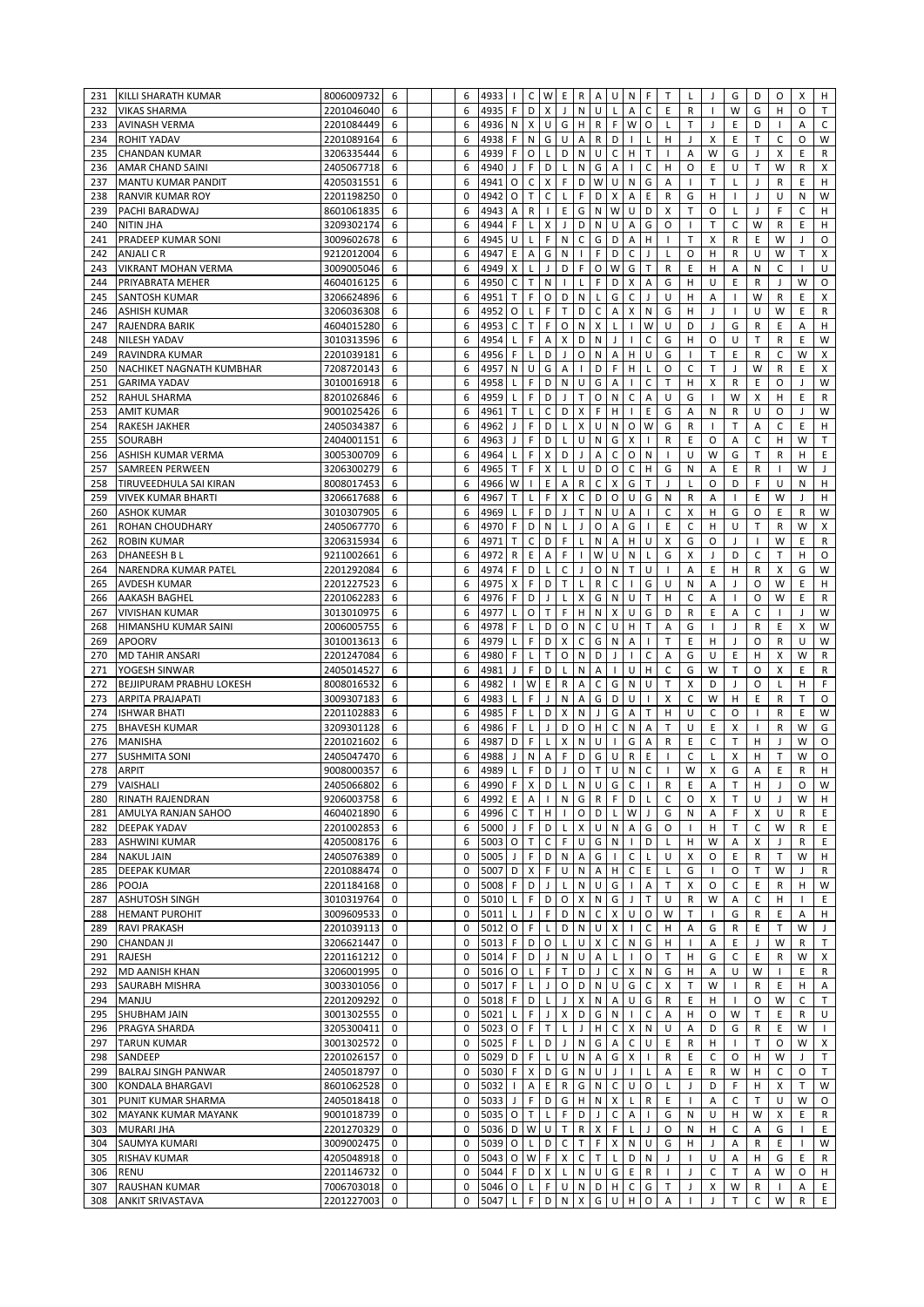| 231 | KILLI SHARATH KUMAR             | 8006009732   | 6           |  | 6 | 4933                 | т.             | C            | W            | E                  | R                         | A            | U                             | N                        | F              | Т            |              | J              | G                        | D            | O            | х            | н             |
|-----|---------------------------------|--------------|-------------|--|---|----------------------|----------------|--------------|--------------|--------------------|---------------------------|--------------|-------------------------------|--------------------------|----------------|--------------|--------------|----------------|--------------------------|--------------|--------------|--------------|---------------|
| 232 | <b>VIKAS SHARMA</b>             | 2201046040   | 6           |  | 6 | 4935                 | F              | D            | X            | $\mathbf{J}$       | N                         | U            | L                             | Α                        | C              | E            | R            | $\mathbf{I}$   | W                        | G            | н            | O            | T             |
| 233 | <b>AVINASH VERMA</b>            | 2201084449   | 6           |  | 6 | 4936                 | N              | х            | U            | G                  | H                         | R            | F                             | W                        | O              | L            | T.           | J              | Ε                        | D            |              | Α            | C             |
| 234 | <b>ROHIT YADAV</b>              | 2201089164   | 6           |  | 6 | 4938                 | F              | ${\sf N}$    | G            | U                  | Α                         | R.           | D                             | $\mathbf{I}$             | Г              | н            | J            | X              | E                        | T            | $\mathsf C$  | O            | W             |
| 235 | <b>CHANDAN KUMAR</b>            | 3206335444   | 6           |  | 6 | 4939                 | F              | O            | L            | D                  | $\mathsf{N}$              | U            | $\mathsf C$                   | H                        | T              | $\mathbf{I}$ | Α            | W              | G                        | J            | X            | Ε            | R             |
| 236 | <b>AMAR CHAND SAINI</b>         | 2405067718   | 6           |  | 6 | 4940                 | J              | F            | D            | L                  | ${\sf N}$                 | G            | A                             |                          | C              | н            | O            | E              | $\cup$                   | T            | W            | $\mathsf R$  | X             |
| 237 | <b>MANTU KUMAR PANDIT</b>       | 4205031551   | 6           |  | 6 | 4941                 | O              | $\mathsf C$  | X            | F                  | D                         | W            | U                             | ${\sf N}$                | G              | Α            | $\mathbf{I}$ | T              | L                        | J            | R            | E            | н             |
| 238 | <b>RANVIR KUMAR ROY</b>         | 2201198250   | 0           |  | 0 | 4942                 | O              | T.           | $\mathsf{C}$ | L                  | F                         | D            | X                             | Α                        | E              | $\mathsf{R}$ | G            | н              |                          | J            | U            | N            | W             |
| 239 | PACHI BARADWAJ                  | 8601061835   | 6           |  | 6 | 4943                 | A              | $\mathsf R$  | $\mathbf{I}$ | E                  | G                         | ${\sf N}$    | W                             | U                        | D              | X            | T            | O              | L                        | J            | F            | C            | H             |
| 240 | <b>NITIN JHA</b>                | 3209302174   | 6           |  | 6 | 4944                 | F              | L            | $\mathsf{X}$ | $\mathbf{J}$       | D                         | ${\sf N}$    | U                             | A                        | G              | O            | $\mathbf{I}$ | T              | C                        | W            | R            | E            | H             |
| 241 | PRADEEP KUMAR SONI              | 3009602678   | 6           |  | 6 | 4945                 | U              | L            | F            | ${\sf N}$          | C                         | G            | D                             | Α                        | H              | $\mathbf{I}$ | T            | X              | $\mathsf{R}$             | E            | W            | J            | O             |
| 242 | <b>ANJALI C R</b>               | 9212012004   | 6           |  | 6 | 4947                 | $\sf E$        | A            | G            | ${\sf N}$          | $\mathbf{I}$              | F            | D                             | $\mathsf C$              | $\overline{1}$ | L            | $\circ$      | H              | R                        | $\cup$       | W            | T            | X             |
| 243 | <b>VIKRANT MOHAN VERMA</b>      | 3009005046   | 6           |  | 6 | 4949                 | X              | L            | J            | D                  | F                         | O            | W                             | G                        | T              | R            | E            | H              | Α                        | N            | C            |              | U             |
|     |                                 | 4604016125   | 6           |  | 6 |                      | $\mathsf C$    | Т            | N            |                    |                           | F            | D                             | X                        | A              | G            | H            | U              | E                        | R            | J            | W            | O             |
| 244 | PRIYABRATA MEHER                |              |             |  |   | 4950                 | T              |              |              |                    | L                         |              |                               |                          |                |              |              |                |                          | W            |              |              |               |
| 245 | <b>SANTOSH KUMAR</b>            | 3206624896   | 6           |  | 6 | 4951                 |                | F            | O            | D                  | ${\sf N}$                 | L            | G                             | C                        |                | U            | Н            | Α              |                          |              | R            | E            | Χ             |
| 246 | <b>ASHISH KUMAR</b>             | 3206036308   | 6           |  | 6 | 4952                 | O              | L            | F            | T                  | D                         | $\mathsf C$  | A                             | X                        | N              | G            | Н            | J              |                          | U            | W            | Ε            | R             |
| 247 | <b>RAJENDRA BARIK</b>           | 4604015280   | 6           |  | 6 | 4953                 | C              | Т            | F            | O                  | $\mathsf{N}$              | X            | L                             |                          | W              | U            | D            | J              | G                        | R            | Ε            | Α            | н             |
| 248 | <b>NILESH YADAV</b>             | 3010313596   | 6           |  | 6 | 4954                 | L              | F            | A            | X                  | D                         | ${\sf N}$    | J                             | $\mathbf{I}$             | C              | G            | н            | O              | U                        | T            | R            | E            | W             |
| 249 | RAVINDRA KUMAR                  | 2201039181   | 6           |  | 6 | 4956                 | F              | L            | D            | J                  | O                         | ${\sf N}$    | A                             | H                        | U              | G            | $\mathbf{I}$ | T              | E                        | R            | C            | W            | X             |
| 250 | NACHIKET NAGNATH KUMBHAR        | 7208720143   | 6           |  | 6 | 4957                 | N              | U            | G            | Α                  | $\mathbf{I}$              | D            | F                             | H                        |                | O            | C            | T.             | $\mathbf{J}$             | W            | R            | E            | X             |
| 251 | <b>GARIMA YADAV</b>             | 3010016918   | 6           |  | 6 | 4958                 | L              | F            | D            | ${\sf N}$          | U                         | G            | A                             | $\mathbf{I}$             | C              | T.           | H            | X              | R                        | E            | $\circ$      | $\mathbf{J}$ | W             |
| 252 | <b>RAHUL SHARMA</b>             | 8201026846   | 6           |  | 6 | 4959                 | L              | F            | D            | $\mathsf{J}$       | $\top$                    | $\circ$      | $\mathsf{N}$                  | C                        | Α              | U            | G            | $\mathbf{I}$   | W                        | X            | н            | Ε            | $\mathsf{R}$  |
| 253 | <b>AMIT KUMAR</b>               | 9001025426   | 6           |  | 6 | 4961                 | T              | L            | $\mathsf{C}$ | D                  | X                         | F            | H                             | $\overline{\phantom{a}}$ | E              | G            | Α            | N              | R                        | U            | $\circ$      | $\mathbf{J}$ | W             |
| 254 | <b>RAKESH JAKHER</b>            | 2405034387   | 6           |  | 6 | 4962                 | J              | F            | D            | $\mathsf{L}$       | $\boldsymbol{\mathsf{x}}$ | U            | N                             | O                        | W              | G            | R            | $\overline{1}$ | T                        | Α            | C            | E            | H             |
| 255 | <b>SOURABH</b>                  | 2404001151   | 6           |  | 6 | 4963                 |                | F            | D            | L                  | U                         | N            | G                             | X                        |                | R            | E            | O              | A                        | C            | H            | W            | T.            |
| 256 | ASHISH KUMAR VERMA              | 3005300709   | 6           |  | 6 | 4964                 |                | F            | Χ            | D                  | J                         | Α            | $\mathsf C$                   | O                        | N              |              | U            | W              | G                        | T            | R            | H            | $\sf E$       |
| 257 | <b>SAMREEN PERWEEN</b>          | 3206300279   | 6           |  | 6 | 4965                 | т              | F            | X            | Г                  | U                         | D            | O                             | C                        | H              | G            | N            | Α              | E                        | R            |              | W            | $\mathbf{J}$  |
| 258 | TIRUVEEDHULA SAI KIRAN          | 8008017453   | 6           |  | 6 | 4966                 | W              | $\mathbf{I}$ | Ε            | A                  | R                         | $\mathsf C$  | $\pmb{\mathsf{X}}$            | G                        | T              | J            | Г            | O              | D                        | F            | U            | N            | н             |
| 259 | <b>VIVEK KUMAR BHARTI</b>       | 3206617688   | 6           |  | 6 | 4967                 | T.             | L            | F            | X                  | С                         | D            | O                             | U                        | G              | N            | $\mathsf{R}$ | Α              | $\mathbf{I}$             | Ε            | W            | J            | н             |
| 260 | <b>ASHOK KUMAR</b>              | 3010307905   | 6           |  | 6 | 4969                 | L              | F            | D            | $\mathsf{J}$       | Τ                         | N            | U                             | A                        | $\mathbf{I}$   | $\mathsf{C}$ | X            | н              | G                        | O            | Ε            | $\mathsf R$  | W             |
| 261 | <b>ROHAN CHOUDHARY</b>          | 2405067770   | 6           |  | 6 | 4970                 | F              | D            | N            | L                  | J                         | O            | A                             | G                        | 1              | E            | C            | н              | U                        | T.           | R            | W            | X             |
| 262 | <b>ROBIN KUMAR</b>              | 3206315934   | 6           |  | 6 | 4971                 | T              | C            | D            | F                  | L                         | N            | A                             | н                        | U              | X            | G            | O              | $\overline{\phantom{a}}$ | 1            | W            | E            | R             |
| 263 | <b>DHANEESH BL</b>              | 9211002661   | 6           |  | 6 | 4972                 | $\mathsf{R}$   | E            | Α            | F                  | Τ.                        | W            | U                             | N                        | L              | G            | х            | J              | D                        | C            | T            | н            | O             |
| 264 | NARENDRA KUMAR PATEL            | 2201292084   | 6           |  | 6 | 4974                 | F              | D            | L            | $\mathsf C$        | J                         | $\circ$      | $\mathsf{N}$                  | T                        | U              | $\mathbf{I}$ | A            | E              | H                        | R            | X            | G            | W             |
| 265 | <b>AVDESH KUMAR</b>             | 2201227523   | 6           |  | 6 | 4975                 | $\pmb{\times}$ | F            | D            | $\mathsf{T}$       | L                         | R            | $\mathsf C$                   | $\mathbf{I}$             | G              | U            | ${\sf N}$    | A              | $\overline{\phantom{a}}$ | O            | W            | E            | н             |
| 266 | <b>AAKASH BAGHEL</b>            | 2201062283   | 6           |  | 6 | 4976                 | F              | D            | J            | L                  | X                         | G            | N                             | U                        | T              | H            | $\mathsf C$  | A              |                          | O            | W            | E            | $\mathsf{R}$  |
| 267 | <b>VIVISHAN KUMAR</b>           | 3013010975   | 6           |  | 6 | 4977                 | L              | O            | T            | F                  | H                         | ${\sf N}$    | X                             | U                        | G              | D            | ${\sf R}$    | E              | A                        | C            |              | $\mathbf{J}$ | W             |
| 268 | HIMANSHU KUMAR SAINI            | 2006005755   | 6           |  | 6 | 4978                 | F              | L            | D            | O                  | ${\sf N}$                 | C            | U                             | H                        | T              | A            | G            | $\mathbf{I}$   | $\overline{1}$           | R            | E            | X            | W             |
| 269 | <b>APOORV</b>                   | 3010013613   | 6           |  | 6 | 4979                 | L              | F            | D            | X                  | C                         | G            | ${\sf N}$                     | Α                        |                | T            | E            | н              | $\overline{1}$           | O            | R            | U            | W             |
| 270 | <b>MD TAHIR ANSARI</b>          | 2201247084   | 6           |  | 6 | 4980                 | F              | L            | Т            | O                  | N                         | D            | J                             |                          | C              | A            | G            | U              | Ε                        | H            | X            | W            | R             |
| 271 | YOGESH SINWAR                   | 2405014527   | 6           |  | 6 | 4981                 | J              | F            | D            | L                  | N                         | A            | $\mathbf{I}$                  | U                        | Η              | $\mathsf{C}$ | G            | W              | T                        | 0            | Χ            | E            | R             |
| 272 | <b>BEJJIPURAM PRABHU LOKESH</b> | 8008016532   | 6           |  | 6 | 4982                 | $\mathbf{I}$   | W            | E            | $\mathsf{R}$       | A                         | C            | G                             | $\mathsf{N}$             | U              | T.           | X            | D              | J                        | O            | Г            | н            | F             |
| 273 | <b>ARPITA PRAJAPATI</b>         | 3009307183   | 6           |  | 6 | 4983                 | L              | F            | J            | ${\sf N}$          | A                         | G            | D                             | U                        | $\mathbf{I}$   | X            | $\mathsf{C}$ | W              | H                        | E            | R            | T            | $\circ$       |
| 274 | <b>ISHWAR BHATI</b>             | 2201102883   | 6           |  | 6 | 4985                 | F              | L            | D            | X                  | $\mathsf{N}$              | J            | G                             | Α                        | T              | н            | U            | C              | $\circ$                  | $\mathbf{I}$ | R            | E            | W             |
| 275 | <b>BHAVESH KUMAR</b>            | 3209301128   | 6           |  | 6 | 4986                 | F              | Г            | J            | D                  | 0                         | H            | $\mathsf{C}$                  | N                        | Α              | T.           | U            | E              | X                        | -1           | R            | W            | G             |
| 276 | <b>MANISHA</b>                  | 2201021602   | 6           |  | 6 | 4987                 | D              | F            | L            | X                  | ${\sf N}$                 | U            | $\mathbf{I}$                  | G                        | A              | R            | Ε            | C              | $\mathsf{T}$             | н            | J            | W            | O             |
| 277 | <b>SUSHMITA SONI</b>            | 2405047470   | 6           |  |   |                      |                | N            | A            | F                  | D                         | G            | U                             | R                        | E              |              | C            |                |                          | H            | T            | W            | $\circ$       |
| 278 |                                 |              |             |  |   |                      |                |              |              |                    |                           |              | U                             | ${\sf N}$                |                |              |              |                |                          |              |              |              | H             |
|     |                                 |              |             |  | 6 | 4988                 |                |              |              |                    |                           |              |                               |                          |                |              |              | L              | X                        |              |              |              |               |
|     | <b>ARPIT</b>                    | 9008000357   | 6           |  | 6 | 4989                 | L              | F            | D            | $\mathsf J$        | $\mathsf O$               | $\mathsf T$  |                               |                          | $\mathsf{C}$   | J.           | W            | X              | G                        | A            | E            | $\mathsf R$  |               |
|     | 279 VAISHALI                    | 2405066802 6 |             |  | 6 | $4990$ F X D L N U G |                |              |              |                    |                           |              |                               | $\mathsf C$              | $\perp$        | ${\sf R}$    | E            | $\mathsf A$    | $\top$                   | $\mathsf H$  |              | $\mathsf O$  | ${\mathsf W}$ |
| 280 | RINATH RAJENDRAN                | 9206003758   | 6           |  | 6 | 4992                 | E.             | Α            | $\mathbf{L}$ | N                  | G                         | R            | F.                            | D                        | $\mathsf L$    | C            | O            | X              | T                        | U            |              | W            | H             |
| 281 | AMULYA RANJAN SAHOO             | 4604021890   | 6           |  | 6 | 4996                 | C              | T.           | H            |                    | $\mathsf O$               | D            | L                             | W                        | J              | G            | N            | Α              | F                        | х            | U            | R            | E             |
|     | 282 DEEPAK YADAV                | 2201002853   | 6           |  | 6 | 5000                 | J              | F            | D            | $\mathsf{L}$       | X                         |              | $\mathsf{U} \quad \mathsf{N}$ | A                        | G              | 0            | $\mathbf{I}$ | H              | т                        | C            | W            | R            | Ε             |
| 283 | <b>ASHWINI KUMAR</b>            | 4205008176   | 6           |  | 6 | 5003 0               |                | т            | $\mathsf C$  | F.                 | U                         |              | G N                           | $\mathbf{I}$             | D              | Г            | H            | W              | Α                        | X            | J            | R            | Ε             |
|     | 284 NAKUL JAIN                  | 2405076389   | 0           |  | 0 | 5005                 | J.             | F            | D            | N                  | A                         | G            | $\mathbf{I}$                  | C                        | L              | U            | x            | $\circ$        | E                        | R            | Т            | W            | H             |
| 285 | <b>DEEPAK KUMAR</b>             | 2201088474   | 0           |  | 0 | 5007 D               |                | X            | F.           | U                  | N                         | $\mathsf{A}$ | H                             | C                        | E              | L            | G            | $\mathbf{I}$   | 0                        | Т            | W            | J            | R             |
| 286 | POOJA                           | 2201184168   | 0           |  | 0 | 5008                 | F.             | D            | $\mathsf{J}$ | L                  | ${\sf N}$                 | $\cup$       | G                             | $\mathbf{I}$             | Α              | T.           | X            | 0              | C                        | E            | R            | н            | W             |
|     | 287 ASHUTOSH SINGH              | 3010319764   | 0           |  | 0 | 5010                 | L              | F            | D            | 0                  | X                         |              | N G                           | J                        | T.             | U            | R            | W              | Α                        | С            | н            |              | Ε             |
|     | 288 HEMANT PUROHIT              | 3009609533   | 0           |  | 0 | 5011                 | L              | J            | F.           | D                  | ${\sf N}$                 |              | $C \times$                    | U                        | O              | W            | т            |                | G                        | R            | E            | Α            | H             |
| 289 | <b>RAVI PRAKASH</b>             | 2201039113   | 0           |  | 0 | 5012 O               |                | $\mathsf F$  | L            | D                  | ${\sf N}$                 |              | U X                           | $\mathbf{I}$             | С              | н            | Α            | G              | R                        | Ε            | Т            | W            | J             |
|     | 290 CHANDAN JI                  | 3206621447   | 0           |  | 0 | 5013                 | F              | D            | $\mathsf O$  | L                  | U                         | X            | $\mathsf C$                   | ${\sf N}$                | G              | H            |              | Α              | Ε                        | J            | W            | $\mathsf R$  | $\top$        |
| 291 | RAJESH                          | 2201161212   | 0           |  | 0 | 5014                 | F              | D            | $\mathsf{J}$ | N                  | U                         | A            | $\mathsf{L}$                  | $\mathbf{I}$             | O              | T            | H            | G              | C                        | Ε            | R            | W            | X             |
| 292 | <b>MD AANISH KHAN</b>           | 3206001995   | $\mathbf 0$ |  | 0 | 5016 O               |                | L            | F            | T                  | D                         | J            | $\mathsf C$                   | X                        | ${\sf N}$      | G            | H            | Α              | U                        | W            |              | Ε            | R             |
| 293 | SAURABH MISHRA                  | 3003301056   | 0           |  | 0 | 5017                 | $\mathsf F$    | L            | J            | O                  | D                         | N            | U                             | G                        | $\mathsf C$    | X            | T.           | W              |                          | R            | Ε            | н            | Α             |
| 294 | <b>MANJU</b>                    | 2201209292   | 0           |  | 0 | 5018 F               |                | D            | L            | J                  | X                         | N.           | A                             | U                        | G              | R            | E.           | н              |                          | O            | W            | C            | T             |
| 295 | <b>SHUBHAM JAIN</b>             | 3001302555   | 0           |  | 0 | 5021                 | L              | F            | $\mathsf{J}$ | $\pmb{\mathsf{X}}$ | D                         |              | G N                           | $\mathbf{I}$             | $\mathsf C$    | Α            | H            | 0              | W                        | Т            | Ε            | R            | U             |
|     | 296 PRAGYA SHARDA               | 3205300411   | 0           |  | 0 | 5023 O               |                | F            | T.           | $\mathsf{L}$       | J                         | $\mathsf H$  | $\mathsf{C}$                  | X                        | ${\sf N}$      | U            | Α            | D              | G                        | R            | Ε            | W            |               |
|     | 297 TARUN KUMAR                 | 3001302572   | 0           |  | 0 | 5025                 | F              | L            | D            | $\mathsf{J}$       | ${\sf N}$                 |              | GA                            | C                        | U              | E            | R            | H              | $\mathbf{I}$             | т            | O            | W            | X             |
|     | 298 SANDEEP                     | 2201026157   | 0           |  | 0 | 5029 D               |                | F            | $\mathsf{L}$ | U                  | ${\sf N}$                 |              | A G                           | X                        |                | R            | E            | C              | 0                        | н            | W            | J            | Т             |
|     | 299 BALRAJ SINGH PANWAR         | 2405018797   | 0           |  | 0 | 5030                 | F              | X            | D            | G                  | ${\sf N}$                 | $\cup$       | $\mathbf{J}$                  |                          |                | Α            | E            | R              | W                        | H            | C            | O            | $\mathsf{T}$  |
|     | 300 KONDALA BHARGAVI            | 8601062528   | 0           |  | 0 | 5032                 |                | Α            | E.           | R                  | G                         | N.           | $\mathsf{C}$                  | U                        | O              | L            | J            | D              | F                        | н            | х            | т            | W             |
| 301 | PUNIT KUMAR SHARMA              | 2405018418   | 0           |  | 0 | 5033                 | $\mathbf{J}$   | F            | D            | G                  | H                         |              | N X                           | L                        | ${\sf R}$      | Ε            |              | Α              | C                        | T            | U            | W            | O             |
|     | 302 MAYANK KUMAR MAYANK         | 9001018739   | 0           |  | 0 | 5035 O               |                | Т            | L            | F                  | D                         | J            | $\mathsf C$                   | Α                        | $\mathbf{I}$   | G            | N            | U              | H                        | W            | X            | Ε            | R             |
| 303 | <b>MURARI JHA</b>               | 2201270329   | 0           |  | 0 | 5036 D               |                | W            | $\cup$       | T                  | R                         | $\mathsf{X}$ | F                             | Г                        | J              | 0            | N            | H              | C                        | Α            | G            | $\mathbf{I}$ | Ε             |
| 304 | SAUMYA KUMARI                   | 3009002475   | 0           |  | 0 | 5039 O               |                | L            | D            | $\mathsf C$        | $\mathsf T$               |              | $F \mid X$                    | $\mathsf{N}$             | $\cup$         | G            | H            | $\mathsf{J}$   | Α                        | R            | Ε            | $\mathbf{I}$ | W             |
| 305 | <b>RISHAV KUMAR</b>             | 4205048918   | 0           |  | 0 | 5043 O               |                | W            | F            | X                  | C                         | T            | $\mathsf{L}$                  | D                        | $\mathsf{N}$   | J            | $\mathbf{I}$ | U              | Α                        | н            | G            | Ε            | R             |
| 306 | <b>RENU</b>                     | 2201146732   | 0           |  | 0 | 5044                 | F.             | D            | X            | $\mathsf{L}$       | N                         |              | $U$ $G$                       | E.                       | $\mathsf{R}$   | $\mathbf{I}$ | $\mathsf{I}$ | C              | Т                        | Α            | W            | 0            | H             |
| 307 | <b>RAUSHAN KUMAR</b>            | 7006703018   | 0           |  | 0 | 5046 O               |                | L            | F            | U                  | N                         |              | D H                           | C                        | G              | T            | J            | Х              | W                        | R            | $\mathbf{I}$ | Α            | Ε             |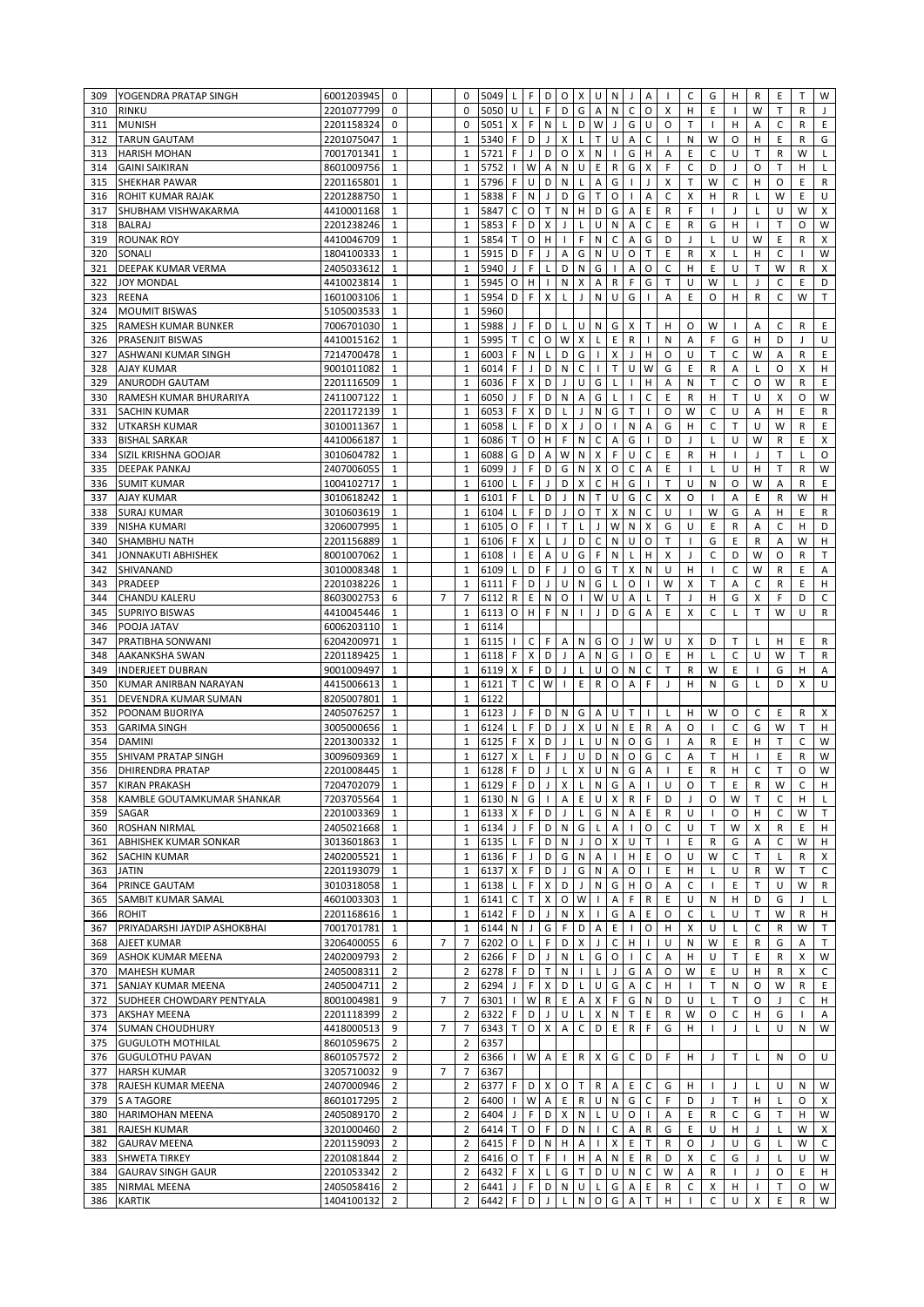| 309        | YOGENDRA PRATAP SINGH                           | 6001203945               | 0                                |                | 0                   | 5049                     | L            | F           | D                         | 0            | X                 | $\cup$                    | N              | J                 | Α                 |              | C            | G            | н                 | R                 | Ε            | T            | W              |
|------------|-------------------------------------------------|--------------------------|----------------------------------|----------------|---------------------|--------------------------|--------------|-------------|---------------------------|--------------|-------------------|---------------------------|----------------|-------------------|-------------------|--------------|--------------|--------------|-------------------|-------------------|--------------|--------------|----------------|
| 310        | <b>RINKU</b>                                    | 2201077799               | 0                                |                | $\Omega$            | 5050                     | U            | L           | F                         | D            | G                 | A                         | N              | C                 | $\circ$           | X            | H            | Ε            |                   | W                 | т            | R            | $\mathbf{J}$   |
| 311        | <b>MUNISH</b>                                   | 2201158324               | 0                                |                | 0                   | 5051                     | X            | F           | N                         | L            | D                 | W                         | J              | G                 | U                 | O            | T            | -1           | Н                 | Α                 | $\mathsf{C}$ | R            | Ε              |
| 312        | <b>TARUN GAUTAM</b>                             | 2201075047               | $\mathbf{1}$                     |                | $\mathbf{1}$        | 5340                     | F            | D           | $\mathsf{J}$              | X            | L                 | $\bar{\mathsf{T}}$        | U              | Α                 | C                 | л.           | ${\sf N}$    | W            | O                 | н                 | Ε            | R            | G              |
| 313        | <b>HARISH MOHAN</b>                             | 7001701341               | $\mathbf{1}$                     |                | $\mathbf{1}$        | 5721                     | F            | J           | D                         | O            | X                 | N                         | $\overline{1}$ | G                 | H                 | Α            | E            | C            | U                 | $\mathsf{T}$      | R            | W            | L              |
| 314        | <b>GAINI SAIKIRAN</b>                           | 8601009756               | $\mathbf{1}$                     |                | $\mathbf{1}$        | 5752                     |              | W           | A                         | ${\sf N}$    | U                 | E                         | $\mathsf R$    | G                 | X                 | F            | $\mathsf C$  | D            | J                 | $\circ$           | T            | H            | L              |
| 315        | <b>SHEKHAR PAWAR</b>                            | 2201165801               | 1                                |                | $\mathbf{1}$        | 5796                     | F            | U           | D                         | N            | L                 | Α                         | G              | $\mathbf{I}$      | J                 | X            | T.           | W            | C                 | H                 | O            | E            | R              |
| 316        | <b>ROHIT KUMAR RAJAK</b>                        | 2201288750               | $\mathbf{1}$                     |                | $\mathbf{1}$        | 5838                     | F            | N           | J                         | D            | G                 | $\top$                    | $\circ$        | $\mathbf{I}$      | Α                 | C            | X            | н            | R                 | L                 | W            | E            | U              |
| 317        | SHUBHAM VISHWAKARMA                             | 4410001168               | $\mathbf{1}$                     |                | $\mathbf{1}$        | 5847                     | $\mathsf C$  | O           | $\mathsf T$               | ${\sf N}$    | H                 | D                         | G              | Α                 | E                 | R            | F            | $\mathbf{I}$ | J                 | L                 | U            | W            | X              |
| 318        | <b>BALRAJ</b>                                   | 2201238246               | $\mathbf{1}$                     |                | $\mathbf{1}$        | 5853                     | F            | D           | $\boldsymbol{\mathsf{x}}$ | J            | L                 | U                         | N              | Α                 | C                 | Ε            | $\mathsf{R}$ | G            | H                 | $\mathbf{I}$      | T            | $\circ$      | W              |
| 319        | <b>ROUNAK ROY</b>                               | 4410046709               | $\mathbf{1}$                     |                | $\mathbf{1}$        | 5854                     | T.           | O           | H                         | $\mathbf{I}$ | F                 | ${\sf N}$                 | $\mathsf{C}$   | Α                 | G                 | D            | J            | L            | U                 | W                 | Ε            | $\mathsf{R}$ | X              |
| 320        | SONALI                                          | 1804100333               | $\mathbf{1}$                     |                | $\mathbf{1}$        | 5915                     | D            | F           | J                         | A            | G                 | N                         | U              | O                 | T                 | E            | ${\sf R}$    | X            | L                 | H                 | C            | $\mathbf{I}$ | W              |
| 321        | DEEPAK KUMAR VERMA                              | 2405033612               | $\mathbf{1}$                     |                | $\mathbf{1}$        | 5940                     | J            | F           | L                         | D            | ${\sf N}$         | G                         | $\overline{1}$ | A                 | O                 | C            | H            | Ε            | U                 | T                 | W            | R            | X              |
| 322        | <b>JOY MONDAL</b>                               | 4410023814               | $\mathbf{1}$                     |                | $\mathbf{1}$        | 5945                     | O            | н           | $\mathbf{I}$              | Ν            | Х                 | А                         | R              | F                 | G                 | T            | U            | W            |                   | J                 | $\mathsf{C}$ | E            | D              |
| 323        | <b>REENA</b>                                    | 1601003106               | $\mathbf{1}$                     |                | $\mathbf{1}$        | 5954                     | D            | F           | X                         | L            | J                 | ${\sf N}$                 | U              | G                 |                   | A            | E            | O            | Н                 | R                 | C            | W            | T              |
| 324        | <b>MOUMIT BISWAS</b>                            | 5105003533               | $\mathbf{1}$                     |                | $\mathbf{1}$        | 5960                     |              |             |                           |              |                   |                           |                |                   |                   |              |              |              |                   |                   |              |              |                |
| 325        | <b>RAMESH KUMAR BUNKER</b>                      | 7006701030               | $\mathbf{1}$                     |                | $\mathbf{1}$        | 5988                     | J            | F           | D                         | L            | U                 | N                         | G              | X                 | T                 | н            | O            | W            |                   | A                 | C            | $\mathsf R$  | E              |
| 326        | PRASENJIT BISWAS                                | 4410015162               | $\mathbf{1}$                     |                | $\mathbf{1}$        | 5995                     | T.           | C           | 0                         | W            | $\pmb{\times}$    | L                         | $\mathsf E$    | R                 |                   | N            | А            | F            | G                 | H                 | D            | J            | U              |
| 327        | ASHWANI KUMAR SINGH                             | 7214700478               | $\mathbf{1}$                     |                | $\mathbf{1}$        | 6003                     | F            | N           | L                         | D            | G                 | $\mathsf{I}$              | X              | J                 | Η                 | O            | U            | T.           | $\mathsf{C}$      | W                 | A            | R            | E              |
| 328        | <b>AJAY KUMAR</b>                               | 9001011082               | $\mathbf{1}$                     |                | $\mathbf{1}$        | 6014                     | F            | J           | D                         | N            | C                 | ı                         | $\mathsf{T}$   | U                 | W                 | G            | Ε            | R            | Α                 | L                 | O            | х            | н              |
| 329        | <b>ANURODH GAUTAM</b>                           | 2201116509               | $\mathbf{1}$                     |                | $\mathbf{1}$        | 6036                     | F            | X           | D                         | J            | U                 | G                         | L              | $\mathbf{I}$      | H                 | Α            | N            | T            | C                 | O                 | W            | R            | E              |
| 330        | RAMESH KUMAR BHURARIYA                          | 2411007122               | 1                                |                | $\mathbf{1}$        | 6050                     | J            | F           | D                         | ${\sf N}$    | A                 | G                         | L              | $\mathbf{I}$      | C                 | E            | R            | н            | T                 | U                 | X            | $\circ$      | W              |
| 331        | <b>SACHIN KUMAR</b>                             | 2201172139               | $\mathbf{1}$                     |                | $\mathbf{1}$        | 6053                     | F            | X           | D                         | L            | J                 | N                         | G              | T                 |                   | O            | W            | C            | U                 | A                 | H            | E            | ${\sf R}$      |
| 332        | <b>UTKARSH KUMAR</b>                            | 3010011367               | 1                                |                | $\mathbf{1}$        | 6058                     | L            | F           | D                         | X            | J                 | O                         | $\overline{1}$ | ${\sf N}$         | Α                 | G            | H            | C            | T                 | U                 | W            | R            | E              |
| 333        | <b>BISHAL SARKAR</b>                            | 4410066187               | $\mathbf{1}$                     |                | $\mathbf{1}$        | 6086                     | т            | O           | H                         | F            | ${\sf N}$         | $\mathsf C$               | A              | G                 |                   | D            | J            | L            | U                 | W                 | R            | E            | X              |
| 334        | SIZIL KRISHNA GOOJAR                            | 3010604782               | $\mathbf{1}$                     |                | $\mathbf{1}$        | 6088                     | G            | D           | А                         | W            | Ν                 | X                         | F              | U                 | C                 | E            | R            | H            |                   |                   | T            |              | O              |
| 335        | <b>DEEPAK PANKAJ</b>                            | 2407006055               | $\mathbf{1}$                     |                | $\mathbf{1}$        | 6099                     | J            | F           | D                         | G            | N                 | Χ                         | O              | C                 | A                 | E            | $\mathbf{I}$ | L            | U                 | H                 | Т            | R            | W              |
| 336        | <b>SUMIT KUMAR</b>                              | 1004102717               | $\mathbf{1}$                     |                | $\mathbf{1}$        | 6100                     | L            | F           | J                         | D            | X                 | С                         | н              | G                 |                   | T.           | U            | N            | O                 | W                 | A            | R            | Ε              |
| 337        | <b>AJAY KUMAR</b>                               | 3010618242               | $\mathbf{1}$                     |                | $\mathbf{1}$        | 6101                     | F            | L           | D                         | J            | $\mathsf{N}$      | T.                        | U              | G                 | C                 | X            | 0            | $\mathbf{I}$ | Α                 | E                 | R            | W            | н              |
| 338        | <b>SURAJ KUMAR</b>                              | 3010603619               | $\mathbf{1}$                     |                | $\mathbf{1}$        | 6104                     | L            | F           | D                         | J            | O                 | T.                        | X              | ${\sf N}$         | C                 | U            | $\mathbf{I}$ | W            | G                 | Α                 | н            | Ε            | R              |
| 339        | <b>NISHA KUMARI</b>                             | 3206007995               | $\mathbf{1}$                     |                | $\mathbf{1}$        | 6105                     | $\circ$      | F           | $\mathbf{I}$              | T            | L                 | J                         | W              | ${\sf N}$         | X                 | G            | U            | E            | R                 | Α                 | C            | H            | D              |
| 340        | SHAMBHU NATH                                    | 2201156889               | $\mathbf{1}$                     |                | $\mathbf{1}$        | 6106                     | F            | X           | L                         | $\mathbf{J}$ | D                 | $\mathsf{C}$              | ${\sf N}$      | U                 | $\circ$           | T            |              | G            | E                 | R                 | Α            | W            | н              |
| 341        | <b>JONNAKUTI ABHISHEK</b>                       | 8001007062               | 1                                |                | $\mathbf{1}$        | 6108                     | $\mathbf{I}$ | E           | Α                         | U            | G                 | F.                        | ${\sf N}$      | L                 | H                 | X            | $\perp$      | C            | D                 | W                 | O            | R            | T              |
| 342        | SHIVANAND                                       | 3010008348               | $\mathbf{1}$                     |                | $\mathbf{1}$        | 6109                     | L            | D           | F                         | $\mathbf{J}$ | O                 | G                         | T              | X                 | N                 | U            | H            | $\mathbf{I}$ | C                 | W                 | R            | E            | A              |
| 343        | <b>PRADEEP</b>                                  | 2201038226               | $\mathbf{1}$                     |                | $\mathbf{1}$        | 6111                     | F            | D           | J                         | U            | $\mathsf{N}$      | G                         | $\mathsf{L}$   | O                 |                   | W            | X            | $\top$       | Α                 | C                 | R            | E            | н              |
| 344        | <b>CHANDU KALERU</b>                            | 8603002753               | 6                                | $\overline{7}$ | $\overline{7}$      | 6112                     | $\mathsf{R}$ | Ε           | N                         | O            | $\mathbf{I}$      | W                         | U              | Α                 | Г                 | T.           | J            | н            | G                 | X                 | F            | D            | $\mathsf C$    |
| 345        | <b>SUPRIYO BISWAS</b>                           | 4410045446               | $\mathbf{1}$                     |                | $\mathbf{1}$        | 6113                     | O            | H           | F                         | N            | $\mathbf{I}$      | J                         | D              | G                 | $\overline{A}$    | E            | X            | C            | L                 | T                 | W            | U            | ${\sf R}$      |
| 346        | POOJA JATAV                                     | 6006203110               | $\mathbf{1}$                     |                | $\mathbf{1}$        | 6114                     |              |             |                           |              |                   |                           |                |                   |                   |              |              |              |                   |                   |              |              |                |
| 347        | PRATIBHA SONWANI                                | 6204200971               | $\mathbf{1}$                     |                | $\mathbf{1}$        | 6115                     |              | C           | F                         | А            | N                 | G                         | O              | J                 | W                 | U            | х            | D            | Т                 |                   | н            | Ε            | R              |
| 348        | <b>AAKANKSHA SWAN</b>                           | 2201189425               | $\mathbf{1}$                     |                | $\mathbf{1}$        | 6118                     | F            | X           | D                         | J            | Α                 | N                         | G              | $\mathbf{I}$      | O                 | Ε            | Н            | L            | С                 | U                 | W            | т            | R              |
| 349        | <b>INDERJEET DUBRAN</b>                         | 9001009497               | $\mathbf{1}$                     |                | $\mathbf{1}$        | 6119                     | X            | F           | D                         | $\mathsf{J}$ | L                 | U                         | 0              | ${\sf N}$         | $\mathsf C$       | T            | R            | W            | E                 |                   | G            | н            | Α              |
| 350        | KUMAR ANIRBAN NARAYAN                           | 4415006613               | $\mathbf{1}$                     |                | $\mathbf{1}$        | 6121                     | T            | C           | W                         | $\mathbf{I}$ | E                 | $\mathsf{R}$              | O              | A                 | F                 | J            | н            | N            | G                 | L                 | D            | X            | U              |
| 351        | DEVENDRA KUMAR SUMAN                            | 8205007801               | $\mathbf{1}$                     |                | $\mathbf{1}$        | 6122                     |              |             |                           |              |                   |                           |                |                   |                   |              |              |              |                   |                   |              |              |                |
| 352        | POONAM BIJORIYA                                 | 2405076257               | $\mathbf{1}$                     |                | $\mathbf{1}$        | 6123                     | J            | F           | D                         | N            | G                 | A                         | U              | T                 | $\mathbf{I}$      | L            | н            | W            | 0                 | C                 | Ε            | R            | X              |
| 353        | <b>GARIMA SINGH</b>                             | 3005000656               | $\mathbf{1}$                     |                | $\mathbf{1}$        | 6124                     | L            | F           | D                         | $\mathbf{J}$ | X                 | U                         | ${\sf N}$      | E                 | R                 | Α            | O            | $\mathbf{I}$ | C                 | G                 | W            | т            | н              |
| 354        | <b>DAMINI</b>                                   | 2201300332               | $\mathbf{1}$                     |                | $\mathbf{1}$        | 6125                     | F            | X           | D                         | J            | L                 | U                         | N              | O                 | G                 |              | Α            | R            | Ε                 | н                 | т            | C            | W              |
| 355        | <b>SHIVAM PRATAP SINGH</b>                      | 3009609369               | $\mathbf{1}$                     |                | $\mathbf{1}$        | 6127                     | X            | L           | F                         | J            | U                 | D                         | ${\sf N}$      | O                 | G                 | $\mathsf C$  | A            | T            | H                 |                   | E            | $\mathsf R$  | W              |
| 356        | <b>DHIRENDRA PRATAP</b>                         | 2201008445               | $\mathbf{1}$                     |                | $\mathbf{1}$        | 6128                     | F.           | D           | $\mathsf{J}$              | $\mathsf{L}$ | $\pmb{\times}$    | $\sf U$                   | ${\sf N}$      | G                 | $\overline{A}$    | $\mathbf{I}$ | E            | R            | H                 | $\mathsf C$       | T            | $\circ$      | W              |
|            | 357 KIRAN PRAKASH                               | 7204702079 1             |                                  |                | $\mathbf 1$         | $6129$ F D J X L N G A I |              |             |                           |              |                   |                           |                |                   |                   | $\sf U$      | $\mathsf O$  | $\sf T$      | $\mathsf E$       | R                 | W            | $\mathsf C$  | Lн             |
| 358        | KAMBLE GOUTAMKUMAR SHANKAR                      | 7203705564               | $\mathbf{1}$                     |                | $\mathbf{1}$        | 6130 N                   |              | G           | $\mathbf{1}$              | A            | E                 | U X                       |                | $\mathsf{R}$      | F                 | D            | $\mathsf{I}$ | O            | W                 | Т                 | С            | н            | L              |
| 359        | SAGAR                                           | 2201003369               | 1                                |                | $\mathbf{1}$        | 6133 X                   |              | F           | D                         | J            | L                 |                           | G N            | Α                 | E                 | R            | U            |              | 0                 | н                 | C            | W            | T              |
| 360        | <b>ROSHAN NIRMAL</b>                            | 2405021668 1             |                                  |                | $\mathbf{1}$        | 6134                     | $\mathsf{J}$ | F           | D                         | N            | G                 | $\lfloor$                 | $\mathsf A$    | $\mathbf{I}$      | 0                 | C            | U            | Τ            | W                 | х                 | R            | E            | H              |
| 361        | ABHISHEK KUMAR SONKAR                           | 3013601863 1             |                                  |                | 1                   | 6135                     | L.           | F           |                           | D N          | J                 |                           | O X            | U                 | Т                 | $\mathbf{I}$ | E.           | R            | G                 | Α                 | C            | W            | н              |
|            | 362 SACHIN KUMAR                                | 2402005521 1             |                                  |                | $\mathbf{1}$        | 6136 F                   |              | $\mathsf J$ | D                         | G            | ${\sf N}$         | $\mathsf{A}$              | $\overline{1}$ | H                 | E.                | 0            | U            | W            | $\mathsf{C}$      | T                 | L            | R            | X              |
| 363        | <b>JATIN</b>                                    | 2201193079               | 1                                |                | $\mathbf{1}$        | 6137 X                   |              | F           | D                         | $\mathsf{J}$ | G                 | N A                       |                | $\mathsf O$       | $\mathbf{I}$      | E            | H            | L            | U                 | R                 | W            | T.           | $\mathsf{C}$   |
| 364        | PRINCE GAUTAM                                   | 3010318058               | 1                                |                | $\mathbf{1}$        | 6138 L                   |              | F           | $\mathsf{x}$              | D            | J                 |                           | $N$ $G$        | H                 | $\mathsf O$       | Α            | C            | $\mathbf{I}$ | E.                | T                 | U            | W            | R              |
| 365        | SAMBIT KUMAR SAMAL                              | 4601003303               | 1                                |                | 1                   | 6141 C                   |              | T           | X.                        | $\circ$      | W                 | $\mathbf{I}$              | Α              | F.                | R                 | E            | U            | N            | H                 | D                 | G            | $\perp$      | L              |
| 366        | <b>ROHIT</b>                                    | 2201168616               | 1                                |                | $\mathbf{1}$        | 6142                     | F.           | D           | $\perp$                   | N            | X                 | $\mathbf{I}$              | G              | Α                 | E                 | 0            | C            | L            | U                 | T                 | W            | R            | H              |
| 367        | PRIYADARSHI JAYDIP ASHOKBHAI                    | 7001701781               | $\mathbf{1}$                     |                | $\mathbf{1}$        | 6144 N                   |              | J           | G                         | F            | D                 | A                         | $\mathsf E$    | $\mathbf{I}$      | O                 | H            | X            | U            | L                 | C                 | R            | W            | Τ              |
| 368        | <b>AJEET KUMAR</b>                              | 3206400055               | 6                                | $\overline{7}$ | $\overline{7}$      | 6202 0                   |              | L           | F                         | D            | X                 | J                         | $\mathsf C$    | H                 | $\mathbf{I}$      | U            | N            | W            | E                 | R                 | G            | Α            | $\mathsf T$    |
|            | 369 ASHOK KUMAR MEENA                           | 2402009793               | $\overline{2}$                   |                | $\overline{2}$      | 6266 F                   |              | D           | J                         | N            | L                 |                           | G O            | $\mathbf{I}$      | С                 | Α            | H            | U            | T                 | Ε                 | R            | X            | W              |
| 370        | <b>MAHESH KUMAR</b>                             | 2405008311               | $\overline{2}$                   |                | $\overline{2}$      | 6278 F                   |              | D           | T                         | N            | $\mathbf{I}$      | $\lfloor$                 | $\mathsf{J}$   | G                 | Α                 | 0            | W            | E            | U                 | н                 | R            | X            | $\mathsf C$    |
| 371        | SANJAY KUMAR MEENA                              | 2405004711               | $\overline{2}$                   |                | $\overline{2}$      | 6294                     | J.           | F           | X                         | D            | L                 |                           | $U$ G          | Α                 | C                 | H            |              | T            | N                 | 0                 | W            | R            | E              |
|            | 372 SUDHEER CHOWDARY PENTYALA                   | 8001004981               | 9                                | 7              | 7                   | 6301                     | $\mathbf{I}$ | W           | R                         | E            | A                 | $\times$                  | F              | G                 | N                 | D            | U            | L            | Т                 | O                 | J            | C            | H              |
|            | 373 AKSHAY MEENA                                | 2201118399               | $\overline{2}$                   |                | $\overline{2}$      | 6322                     | F.           | D           | $J \mid$                  | $\sf U$      | $\mathsf{L}$      |                           | X N            | $\mathsf T$       | E.                | R            | W            | 0            | C                 | H                 | G            | $\mathbf{I}$ | Α              |
|            | 374 SUMAN CHOUDHURY                             | 4418000513               | 9                                | 7              | $\overline{7}$      | 6343 T                   |              | $\circ$     | $\mathsf{X}$              | A            | $\mathsf{C}$      | D                         | E              | $\mathsf R$       | F                 | G            | H            | $\mathbf{I}$ | J                 | L                 | U            | N            | W              |
|            | 375 GUGULOTH MOTHILAL                           | 8601059675               | $\overline{2}$                   |                | $\overline{2}$      | 6357                     |              |             |                           |              |                   |                           |                |                   |                   |              |              |              |                   |                   |              |              |                |
|            | 376 GUGULOTHU PAVAN                             | 8601057572               | $\overline{2}$                   |                | $\overline{2}$      | 6366                     | $\mathbf{L}$ |             | W A                       | E            | R                 | X                         | G              | C D               |                   | F.           | H            | J            | т                 | L                 | Ν            | 0            | U              |
|            |                                                 | 3205710032               | 9                                | $\overline{7}$ | $\overline{7}$      | 6367                     |              |             |                           |              |                   |                           |                |                   |                   |              |              |              |                   |                   |              |              |                |
|            |                                                 |                          |                                  |                |                     |                          |              |             |                           |              | T                 |                           |                |                   |                   |              |              |              |                   |                   |              |              |                |
|            | 377 HARSH KUMAR                                 |                          |                                  |                |                     |                          |              |             |                           |              |                   |                           |                |                   |                   |              |              |              |                   |                   |              |              |                |
|            | 378 RAJESH KUMAR MEENA                          | 2407000946               | $\overline{2}$                   |                | 2                   | 6377 F                   |              | D           | $X$ O                     |              |                   |                           | R A            | E.                | С                 | G            | H            | $\mathbf{I}$ | J                 | L                 | U            | N            | W              |
| 379        | <b>S A TAGORE</b>                               | 8601017295               | $\overline{2}$                   |                | $\overline{2}$      | 6400                     | J            | W           | $\overline{A}$            | E            | $\mathsf{R}$      |                           | U N            | G                 | C                 | F            | D            | J            | $\mathsf T$       | $\mathsf H$       | L            | O            | $\pmb{\times}$ |
|            | 380 HARIMOHAN MEENA                             | 2405089170               | $\overline{2}$                   |                | $\overline{2}$      | 6404                     |              | F           | D X                       |              | ${\sf N}$         | $\lfloor$<br>$\mathbf{I}$ | $\sf U$        | $\mathsf O$       | $\mathbf{I}$      | Α            | E            | R            | C                 | G                 | Т            | H            | W              |
|            | 381 RAJESH KUMAR                                | 3201000460               | $\overline{2}$                   |                | $\overline{2}$      | 6414                     | $\mathsf{T}$ | $\mathsf O$ | F                         | D            | ${\sf N}$         |                           | $\mathsf C$    | Α                 | ${\sf R}$         | G            | E            | U            | H                 | J                 | L            | W            | X              |
| 382        | <b>GAURAV MEENA</b>                             | 2201159093               | $\overline{2}$                   |                | $\overline{2}$      | 6415                     | F            | D           | $N$ H                     |              | A                 | $\mathbf{I}$              | $\mathsf{X}$   | E                 | T                 | R            | 0            | J            | U                 | G                 | Г            | W<br>U       | $\mathsf C$    |
| 383        | <b>SHWETA TIRKEY</b>                            | 2201081844               | $\overline{2}$                   |                | $\overline{2}$      | 6416 O                   |              | т           | F                         | $\mathbf{I}$ | H                 |                           | A N            | E                 | ${\sf R}$         | D            | X            | C            | G                 | $\mathsf J$       | L            |              | W              |
| 384<br>385 | <b>GAURAV SINGH GAUR</b><br><b>NIRMAL MEENA</b> | 2201053342<br>2405058416 | $\overline{2}$<br>$\overline{2}$ |                | $\overline{2}$<br>2 | 6432 F<br>6441 J         |              | X<br>F.     |                           | $L$ G<br>D N | $\mathsf{T}$<br>U |                           | D U<br>$L$ G   | $\mathsf{N}$<br>A | $\mathsf{C}$<br>E | W<br>R       | Α<br>C       | R<br>X       | $\mathbf{I}$<br>H | J<br>$\mathbf{I}$ | 0<br>т       | E.<br>0      | H<br>W         |